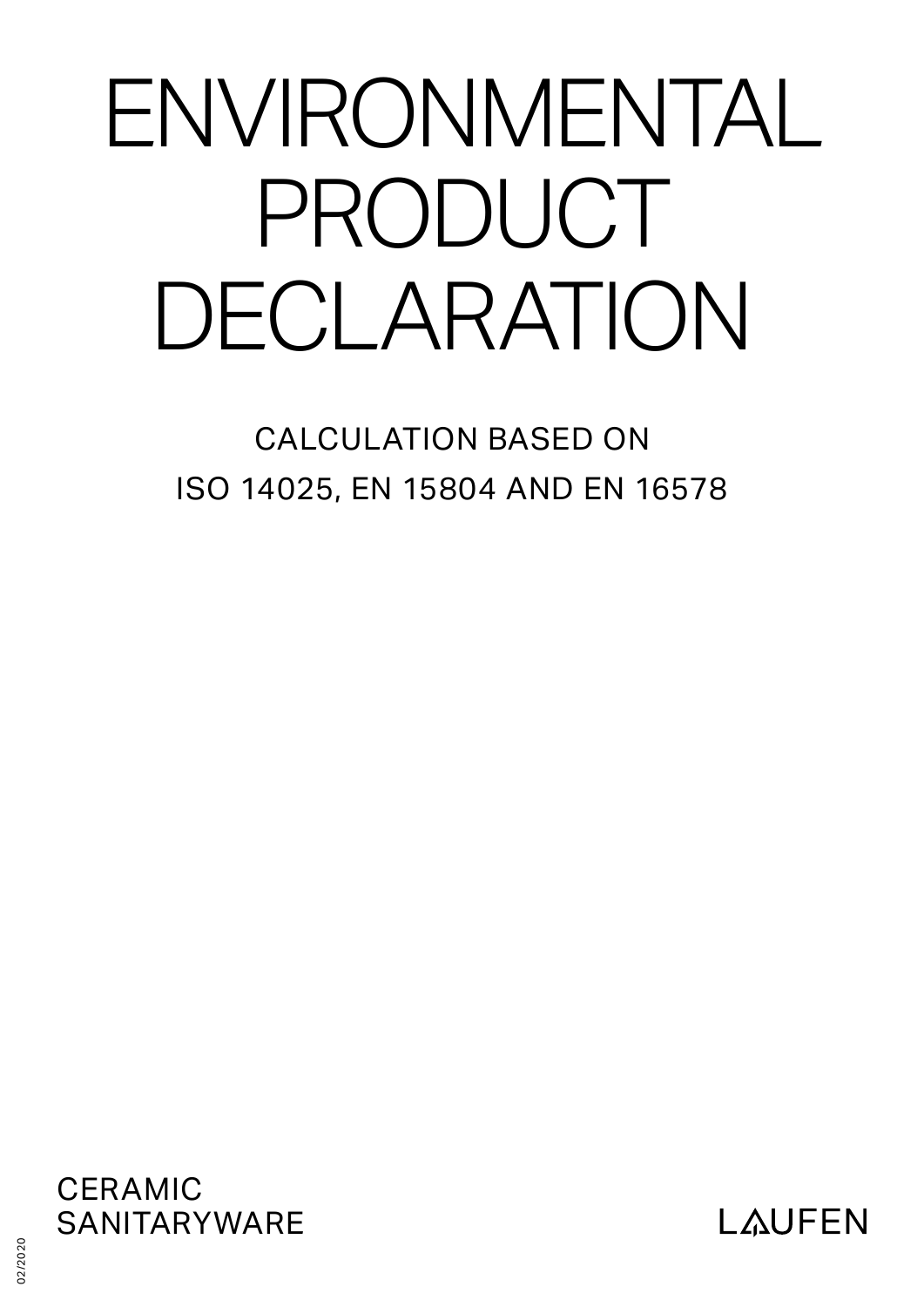# ENVIRONMENTAL PRODUCT DECLARATION

CALCULATION BASED ON ISO 14025, EN 15804 AND EN 16578



**LAUFEN** 

02/2020 02/2020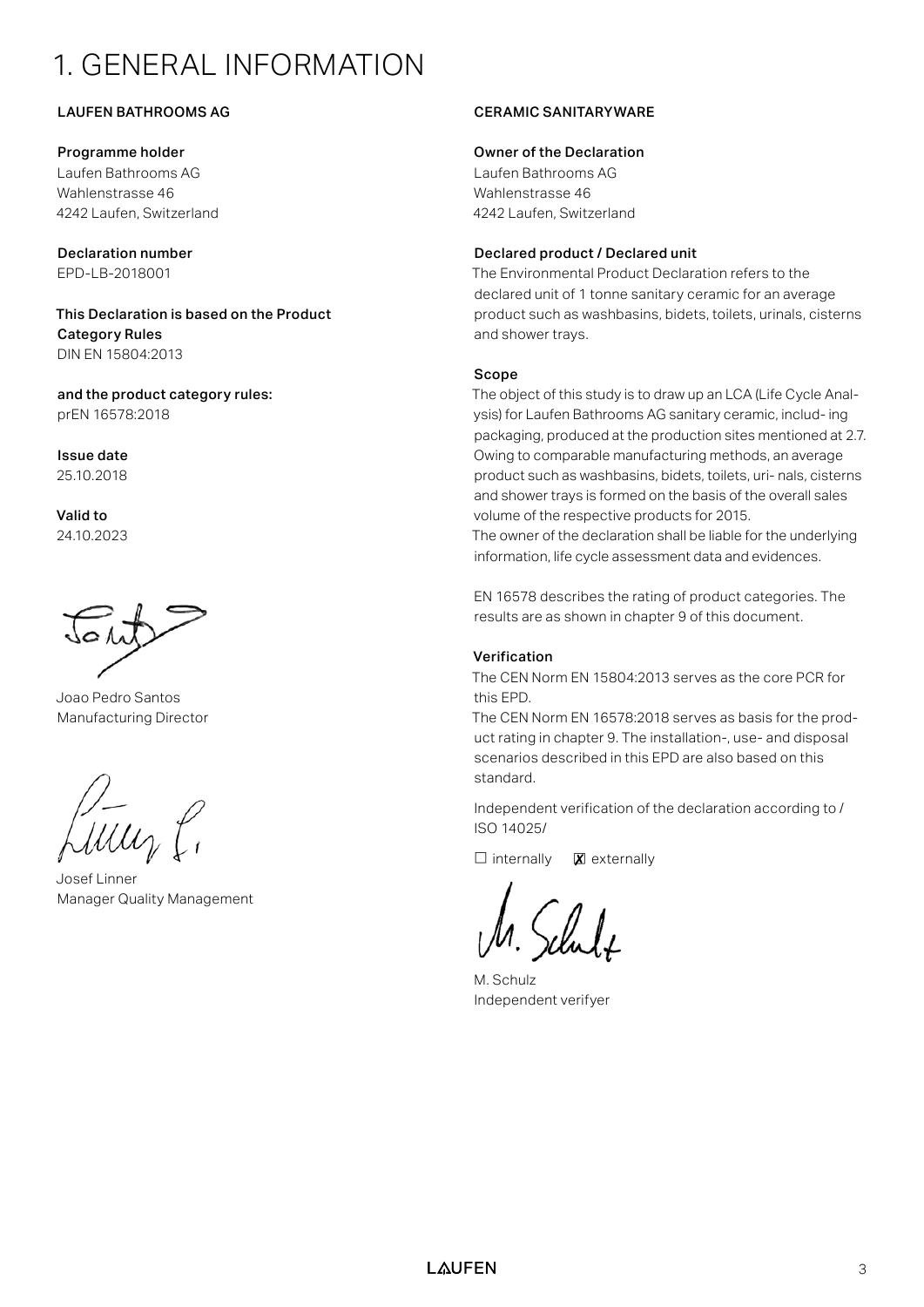## 1. GENERAL INFORMATION

#### LAUFEN BATHROOMS AG

#### Programme holder

Laufen Bathrooms AG Wahlenstrasse 46 4242 Laufen, Switzerland

Declaration number EPD-LB-2018001

This Declaration is based on the Product Category Rules DIN EN 15804:2013

and the product category rules: prEN 16578:2018

Issue date 25.10.2018

Valid to 24.10.2023

Joao Pedro Santos Manufacturing Director

Josef Linner Manager Quality Management

#### CERAMIC SANITARYWARE

#### Owner of the Declaration

Laufen Bathrooms AG Wahlenstrasse 46 4242 Laufen, Switzerland

#### Declared product / Declared unit

The Environmental Product Declaration refers to the declared unit of 1 tonne sanitary ceramic for an average product such as washbasins, bidets, toilets, urinals, cisterns and shower trays.

#### Scope

The object of this study is to draw up an LCA (Life Cycle Analysis) for Laufen Bathrooms AG sanitary ceramic, includ- ing packaging, produced at the production sites mentioned at 2.7. Owing to comparable manufacturing methods, an average product such as washbasins, bidets, toilets, uri- nals, cisterns and shower trays is formed on the basis of the overall sales volume of the respective products for 2015. The owner of the declaration shall be liable for the underlying information, life cycle assessment data and evidences.

EN 16578 describes the rating of product categories. The results are as shown in chapter 9 of this document.

#### Verification

The CEN Norm EN 15804:2013 serves as the core PCR for this EPD.

The CEN Norm EN 16578:2018 serves as basis for the product rating in chapter 9. The installation-, use- and disposal scenarios described in this EPD are also based on this standard.

Independent verification of the declaration according to / ISO 14025/

 $\Box$  internally  $\boxtimes$  externally

M. Schulz Independent verifyer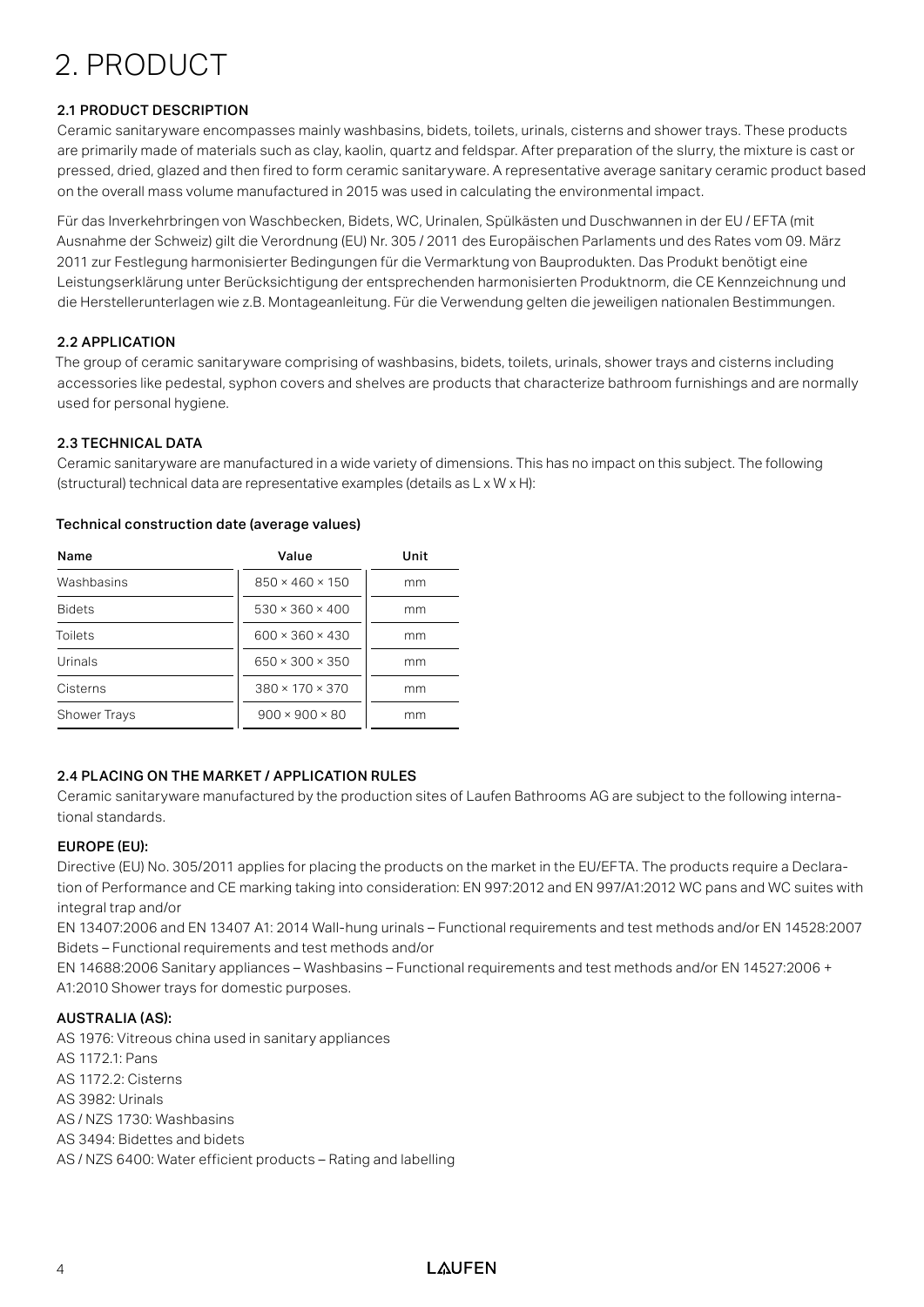## 2. PRODUCT

#### 2.1 PRODUCT DESCRIPTION

Ceramic sanitaryware encompasses mainly washbasins, bidets, toilets, urinals, cisterns and shower trays. These products are primarily made of materials such as clay, kaolin, quartz and feldspar. After preparation of the slurry, the mixture is cast or pressed, dried, glazed and then fired to form ceramic sanitaryware. A representative average sanitary ceramic product based on the overall mass volume manufactured in 2015 was used in calculating the environmental impact.

Für das Inverkehrbringen von Waschbecken, Bidets, WC, Urinalen, Spülkästen und Duschwannen in der EU / EFTA (mit Ausnahme der Schweiz) gilt die Verordnung (EU) Nr. 305 / 2011 des Europäischen Parlaments und des Rates vom 09. März 2011 zur Festlegung harmonisierter Bedingungen für die Vermarktung von Bauprodukten. Das Produkt benötigt eine Leistungserklärung unter Berücksichtigung der entsprechenden harmonisierten Produktnorm, die CE Kennzeichnung und die Herstellerunterlagen wie z.B. Montageanleitung. Für die Verwendung gelten die jeweiligen nationalen Bestimmungen.

#### 2.2 APPLICATION

The group of ceramic sanitaryware comprising of washbasins, bidets, toilets, urinals, shower trays and cisterns including accessories like pedestal, syphon covers and shelves are products that characterize bathroom furnishings and are normally used for personal hygiene.

#### 2.3 TECHNICAL DATA

Ceramic sanitaryware are manufactured in a wide variety of dimensions. This has no impact on this subject. The following (structural) technical data are representative examples (details as L x W x H):

| Name                | Value                       | Unit |
|---------------------|-----------------------------|------|
| Washbasins          | $850 \times 460 \times 150$ | mm   |
| <b>Bidets</b>       | $530 \times 360 \times 400$ | mm   |
| Toilets             | $600 \times 360 \times 430$ | mm   |
| Urinals             | $650 \times 300 \times 350$ | mm   |
| Cisterns            | $380 \times 170 \times 370$ | mm   |
| <b>Shower Trays</b> | $900 \times 900 \times 80$  | mm   |

#### Technical construction date (average values)

#### 2.4 PLACING ON THE MARKET / APPLICATION RULES

Ceramic sanitaryware manufactured by the production sites of Laufen Bathrooms AG are subject to the following international standards.

#### EUROPE (EU):

Directive (EU) No. 305/2011 applies for placing the products on the market in the EU/EFTA. The products require a Declaration of Performance and CE marking taking into consideration: EN 997:2012 and EN 997/A1:2012 WC pans and WC suites with integral trap and/or

EN 13407:2006 and EN 13407 A1: 2014 Wall-hung urinals – Functional requirements and test methods and/or EN 14528:2007 Bidets – Functional requirements and test methods and/or

EN 14688:2006 Sanitary appliances – Washbasins – Functional requirements and test methods and/or EN 14527:2006 + A1:2010 Shower trays for domestic purposes.

#### AUSTRALIA (AS):

AS 1976: Vitreous china used in sanitary appliances AS 1172.1: Pans AS 1172.2: Cisterns AS 3982: Urinals AS / NZS 1730: Washbasins AS 3494: Bidettes and bidets AS / NZS 6400: Water efficient products – Rating and labelling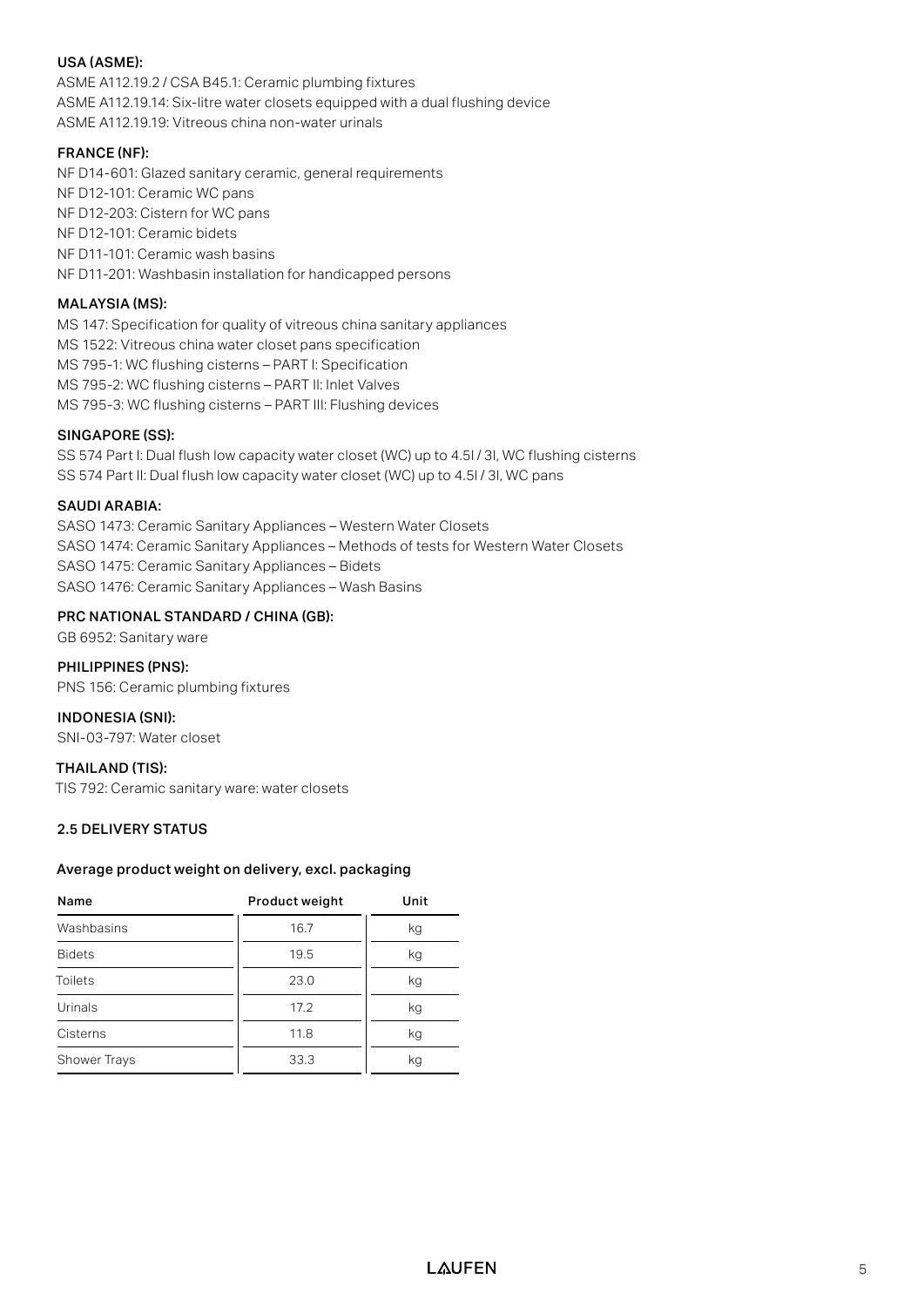#### USA (ASME):

ASME A112.19.2 / CSA B45.1: Ceramic plumbing fixtures ASME A112.19.14: Six-litre water closets equipped with a dual flushing device ASME A112.19.19: Vitreous china non-water urinals

#### FRANCE (NF):

NF D14-601: Glazed sanitary ceramic, general requirements NF D12-101: Ceramic WC pans NF D12-203: Cistern for WC pans NF D12-101: Ceramic bidets NF D11-101: Ceramic wash basins NF D11-201: Washbasin installation for handicapped persons

#### MALAYSIA (MS):

MS 147: Specification for quality of vitreous china sanitary appliances MS 1522: Vitreous china water closet pans specification MS 795-1: WC flushing cisterns – PART I: Specification MS 795-2: WC flushing cisterns – PART II: Inlet Valves MS 795-3: WC flushing cisterns – PART III: Flushing devices

#### SINGAPORE (SS):

SS 574 Part I: Dual flush low capacity water closet (WC) up to 4.5l / 3l, WC flushing cisterns SS 574 Part II: Dual flush low capacity water closet (WC) up to 4.5l / 3l, WC pans

#### SAUDI ARABIA:

SASO 1473: Ceramic Sanitary Appliances – Western Water Closets SASO 1474: Ceramic Sanitary Appliances – Methods of tests for Western Water Closets SASO 1475: Ceramic Sanitary Appliances – Bidets SASO 1476: Ceramic Sanitary Appliances – Wash Basins

#### PRC NATIONAL STANDARD / CHINA (GB):

GB 6952: Sanitary ware

#### PHILIPPINES (PNS):

PNS 156: Ceramic plumbing fixtures

INDONESIA (SNI): SNI-03-797: Water closet

#### THAILAND (TIS):

TIS 792: Ceramic sanitary ware: water closets

#### 2.5 DELIVERY STATUS

#### Average product weight on delivery, excl. packaging

| Name           | Product weight | Unit |
|----------------|----------------|------|
| Washbasins     | 16.7           | kg   |
| <b>Bidets</b>  | 19.5           | kg   |
| <b>Toilets</b> | 23.0           | kg   |
| Urinals        | 17.2           | kg   |
| Cisterns       | 11.8           | kg   |
| Shower Trays   | 33.3           | kg   |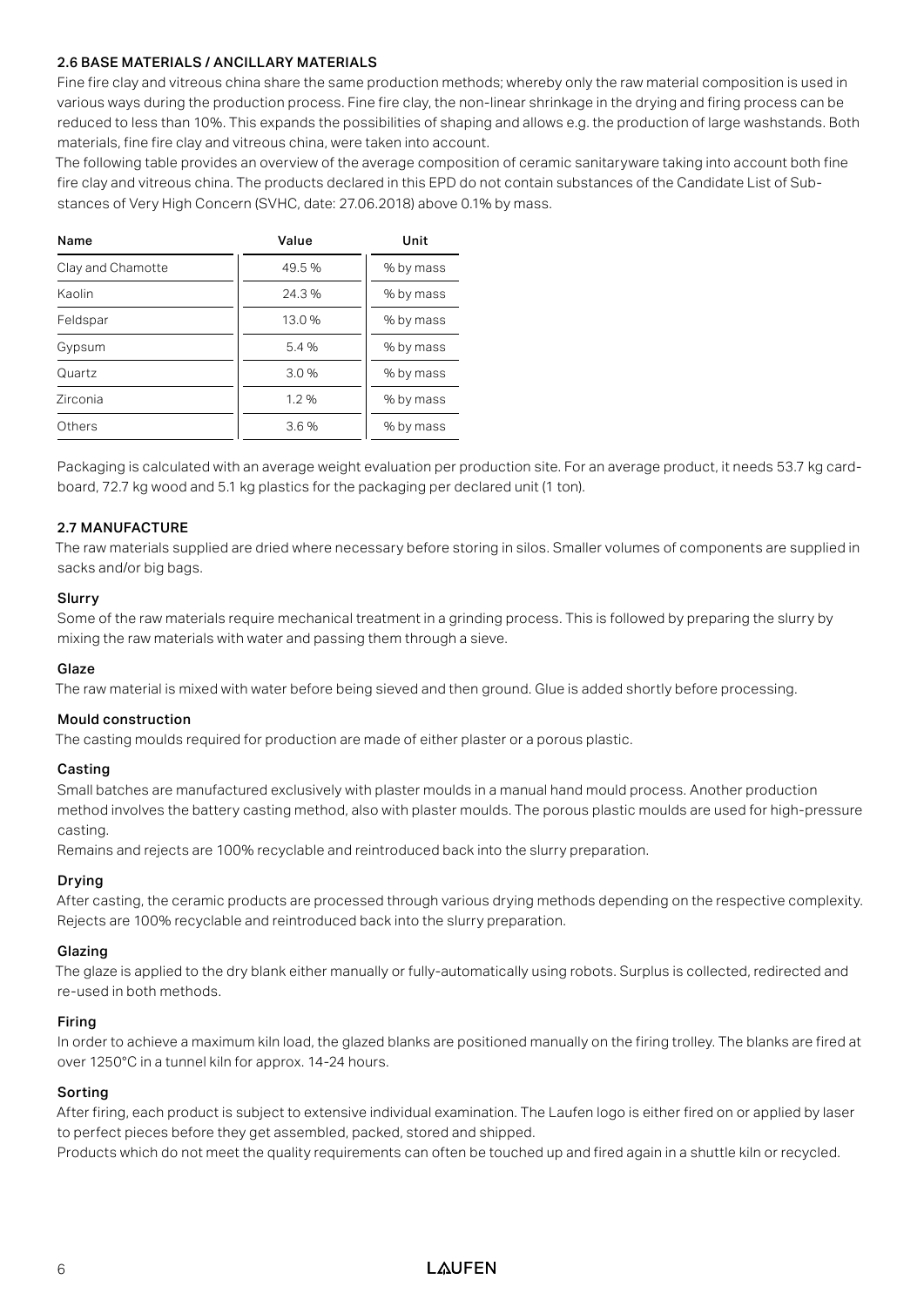#### 2.6 BASE MATERIALS / ANCILLARY MATERIALS

Fine fire clay and vitreous china share the same production methods; whereby only the raw material composition is used in various ways during the production process. Fine fire clay, the non-linear shrinkage in the drying and firing process can be reduced to less than 10%. This expands the possibilities of shaping and allows e.g. the production of large washstands. Both materials, fine fire clay and vitreous china, were taken into account.

The following table provides an overview of the average composition of ceramic sanitaryware taking into account both fine fire clay and vitreous china. The products declared in this EPD do not contain substances of the Candidate List of Substances of Very High Concern (SVHC, date: 27.06.2018) above 0.1% by mass.

| Name              | Value | Unit      |  |  |  |
|-------------------|-------|-----------|--|--|--|
| Clay and Chamotte | 49.5% | % by mass |  |  |  |
| Kaolin            | 24.3% | % by mass |  |  |  |
| Feldspar          | 13.0% | % by mass |  |  |  |
| Gypsum            | 5.4%  | % by mass |  |  |  |
| Quartz            | 3.0%  | % by mass |  |  |  |
| Zirconia          | 1.2%  | % by mass |  |  |  |
| Others            | 3.6%  | % by mass |  |  |  |

Packaging is calculated with an average weight evaluation per production site. For an average product, it needs 53.7 kg cardboard, 72.7 kg wood and 5.1 kg plastics for the packaging per declared unit (1 ton).

#### 2.7 MANUFACTURE

The raw materials supplied are dried where necessary before storing in silos. Smaller volumes of components are supplied in sacks and/or big bags.

#### Slurry

Some of the raw materials require mechanical treatment in a grinding process. This is followed by preparing the slurry by mixing the raw materials with water and passing them through a sieve.

#### Glaze

The raw material is mixed with water before being sieved and then ground. Glue is added shortly before processing.

#### Mould construction

The casting moulds required for production are made of either plaster or a porous plastic.

#### Casting

Small batches are manufactured exclusively with plaster moulds in a manual hand mould process. Another production method involves the battery casting method, also with plaster moulds. The porous plastic moulds are used for high-pressure casting.

Remains and rejects are 100% recyclable and reintroduced back into the slurry preparation.

#### Drying

After casting, the ceramic products are processed through various drying methods depending on the respective complexity. Rejects are 100% recyclable and reintroduced back into the slurry preparation.

#### Glazing

The glaze is applied to the dry blank either manually or fully-automatically using robots. Surplus is collected, redirected and re-used in both methods.

#### Firing

In order to achieve a maximum kiln load, the glazed blanks are positioned manually on the firing trolley. The blanks are fired at over 1250°C in a tunnel kiln for approx. 14-24 hours.

#### Sorting

After firing, each product is subject to extensive individual examination. The Laufen logo is either fired on or applied by laser to perfect pieces before they get assembled, packed, stored and shipped.

Products which do not meet the quality requirements can often be touched up and fired again in a shuttle kiln or recycled.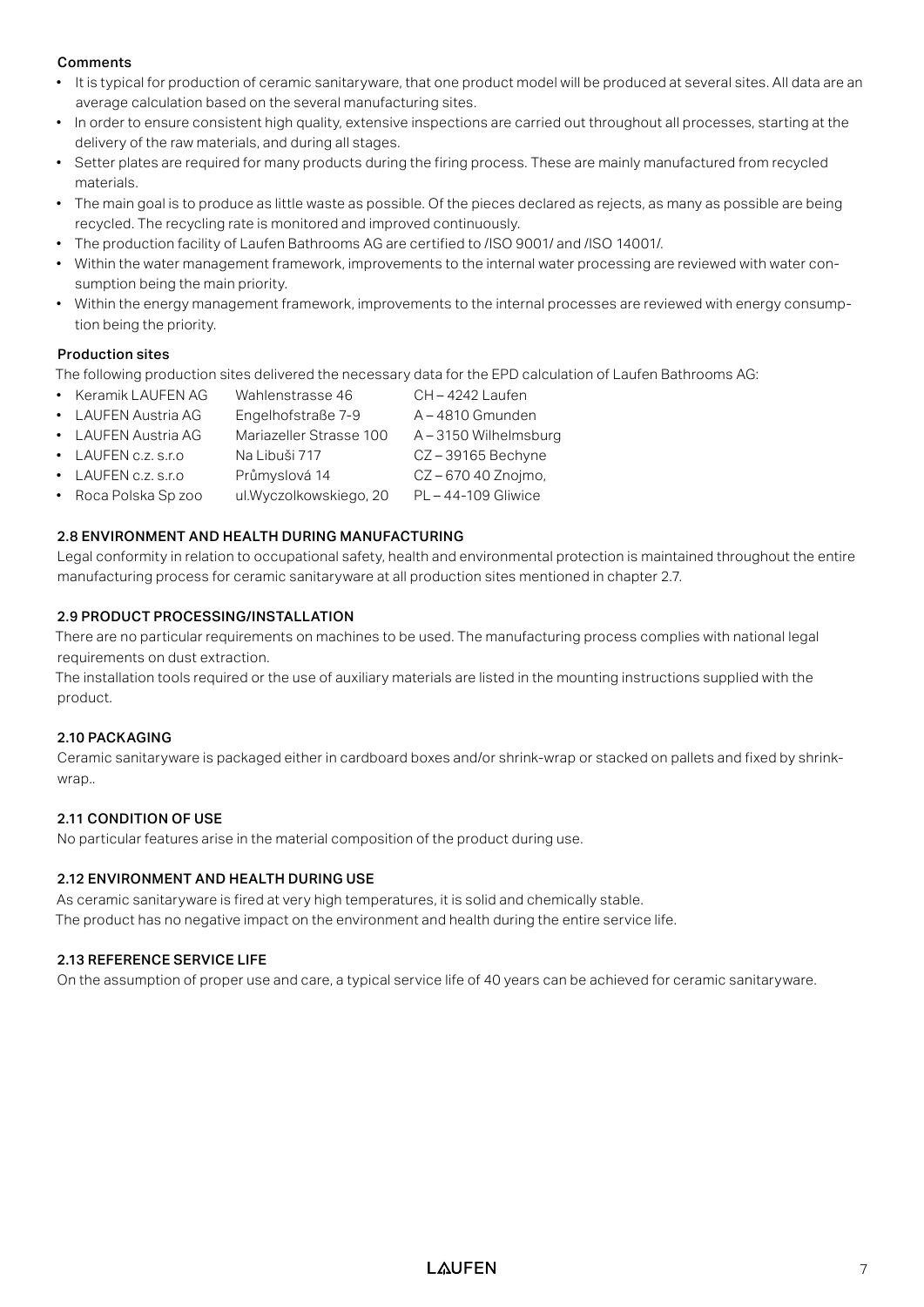#### Comments

- It is typical for production of ceramic sanitaryware, that one product model will be produced at several sites. All data are an average calculation based on the several manufacturing sites.
- In order to ensure consistent high quality, extensive inspections are carried out throughout all processes, starting at the delivery of the raw materials, and during all stages.
- Setter plates are required for many products during the firing process. These are mainly manufactured from recycled materials.
- The main goal is to produce as little waste as possible. Of the pieces declared as rejects, as many as possible are being recycled. The recycling rate is monitored and improved continuously.
- The production facility of Laufen Bathrooms AG are certified to /ISO 9001/ and /ISO 14001/.
- Within the water management framework, improvements to the internal water processing are reviewed with water consumption being the main priority.
- Within the energy management framework, improvements to the internal processes are reviewed with energy consumption being the priority.

#### Production sites

The following production sites delivered the necessary data for the EPD calculation of Laufen Bathrooms AG:

- Keramik LAUFEN AG Wahlenstrasse 46 CH 4242 Laufen
- LAUFEN Austria AG Engelhofstraße 7-9 A-4810 Gmunden
- LAUFEN Austria AG Mariazeller Strasse 100 A-3150 Wilhelmsburg
- LAUFEN c.z. s.r.o Na Libuši 717 CZ-39165 Bechyne
- LAUFEN c.z. s.r.o Průmyslová 14 CZ – 670 40 Znojmo,
- Roca Polska Sp zoo ul.Wyczolkowskiego, 20 PL 44-109 Gliwice

#### 2.8 ENVIRONMENT AND HEALTH DURING MANUFACTURING

Legal conformity in relation to occupational safety, health and environmental protection is maintained throughout the entire manufacturing process for ceramic sanitaryware at all production sites mentioned in chapter 2.7.

#### 2.9 PRODUCT PROCESSING/INSTALLATION

There are no particular requirements on machines to be used. The manufacturing process complies with national legal requirements on dust extraction.

The installation tools required or the use of auxiliary materials are listed in the mounting instructions supplied with the product.

#### 2.10 PACKAGING

Ceramic sanitaryware is packaged either in cardboard boxes and/or shrink-wrap or stacked on pallets and fixed by shrinkwrap..

#### 2.11 CONDITION OF USE

No particular features arise in the material composition of the product during use.

#### 2.12 ENVIRONMENT AND HEALTH DURING USE

As ceramic sanitaryware is fired at very high temperatures, it is solid and chemically stable. The product has no negative impact on the environment and health during the entire service life.

#### 2.13 REFERENCE SERVICE LIFE

On the assumption of proper use and care, a typical service life of 40 years can be achieved for ceramic sanitaryware.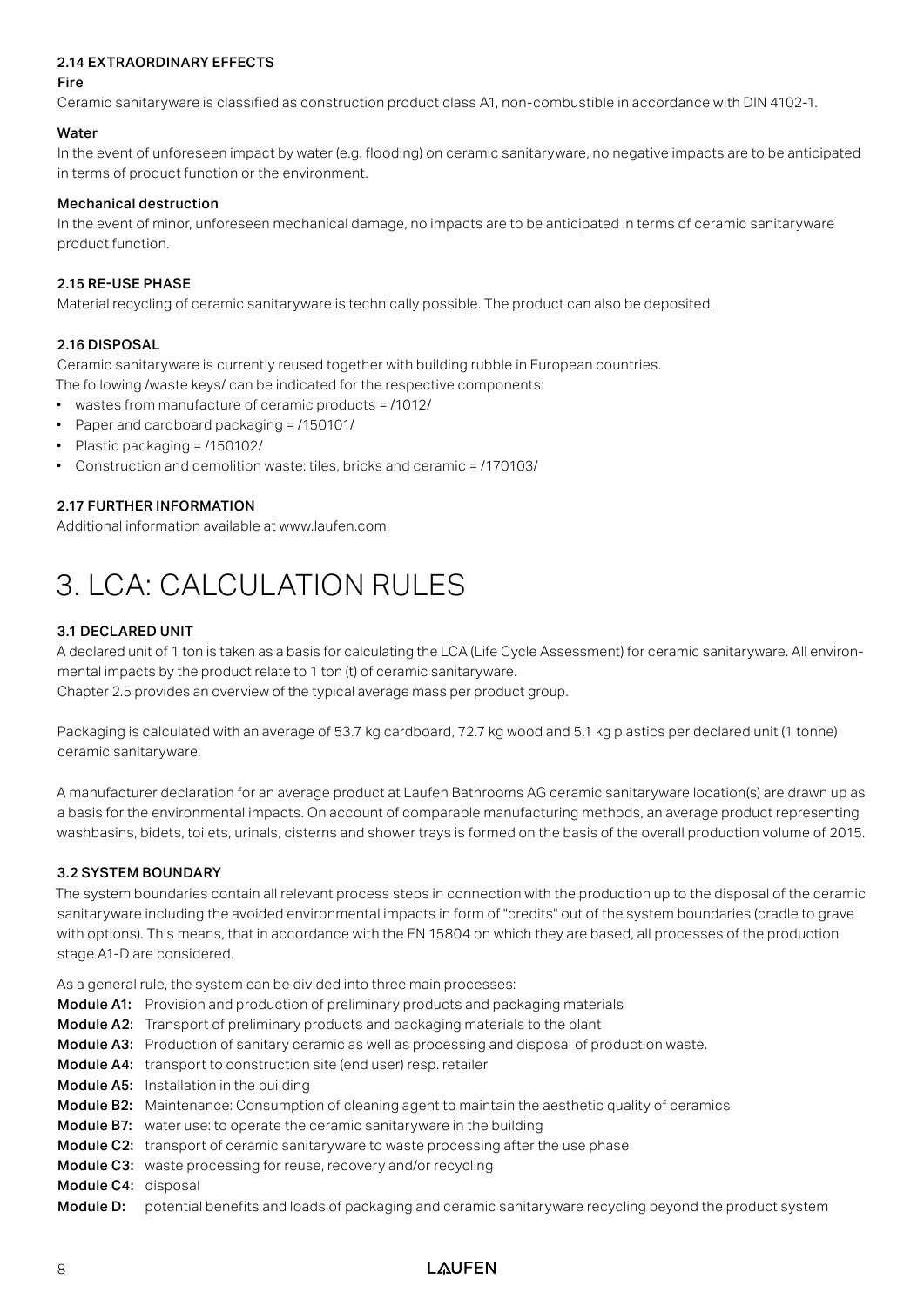#### 2.14 EXTRAORDINARY EFFECTS

#### Fire

Ceramic sanitaryware is classified as construction product class A1, non-combustible in accordance with DIN 4102-1.

#### **Water**

In the event of unforeseen impact by water (e.g. flooding) on ceramic sanitaryware, no negative impacts are to be anticipated in terms of product function or the environment.

#### Mechanical destruction

In the event of minor, unforeseen mechanical damage, no impacts are to be anticipated in terms of ceramic sanitaryware product function.

#### 2.15 RE-USE PHASE

Material recycling of ceramic sanitaryware is technically possible. The product can also be deposited.

#### 2.16 DISPOSAL

Ceramic sanitaryware is currently reused together with building rubble in European countries.

The following /waste keys/ can be indicated for the respective components:

- wastes from manufacture of ceramic products = /1012/
- Paper and cardboard packaging = /150101/
- Plastic packaging = /150102/
- Construction and demolition waste: tiles, bricks and ceramic = /170103/

#### 2.17 FURTHER INFORMATION

Additional information available at www.laufen.com.

## 3. LCA: CALCULATION RULES

#### 3.1 DECLARED UNIT

A declared unit of 1 ton is taken as a basis for calculating the LCA (Life Cycle Assessment) for ceramic sanitaryware. All environmental impacts by the product relate to 1 ton (t) of ceramic sanitaryware.

Chapter 2.5 provides an overview of the typical average mass per product group.

Packaging is calculated with an average of 53.7 kg cardboard, 72.7 kg wood and 5.1 kg plastics per declared unit (1 tonne) ceramic sanitaryware.

A manufacturer declaration for an average product at Laufen Bathrooms AG ceramic sanitaryware location(s) are drawn up as a basis for the environmental impacts. On account of comparable manufacturing methods, an average product representing washbasins, bidets, toilets, urinals, cisterns and shower trays is formed on the basis of the overall production volume of 2015.

#### 3.2 SYSTEM BOUNDARY

The system boundaries contain all relevant process steps in connection with the production up to the disposal of the ceramic sanitaryware including the avoided environmental impacts in form of "credits" out of the system boundaries (cradle to grave with options). This means, that in accordance with the EN 15804 on which they are based, all processes of the production stage A1-D are considered.

As a general rule, the system can be divided into three main processes:

- Module A1: Provision and production of preliminary products and packaging materials
- Module A2: Transport of preliminary products and packaging materials to the plant
- Module A3: Production of sanitary ceramic as well as processing and disposal of production waste.
- Module A4: transport to construction site (end user) resp. retailer
- Module A5: Installation in the building
- Module B2: Maintenance: Consumption of cleaning agent to maintain the aesthetic quality of ceramics
- Module B7: water use: to operate the ceramic sanitaryware in the building
- Module C2: transport of ceramic sanitaryware to waste processing after the use phase
- Module C3: waste processing for reuse, recovery and/or recycling
- Module C4: disposal
- Module D: potential benefits and loads of packaging and ceramic sanitaryware recycling beyond the product system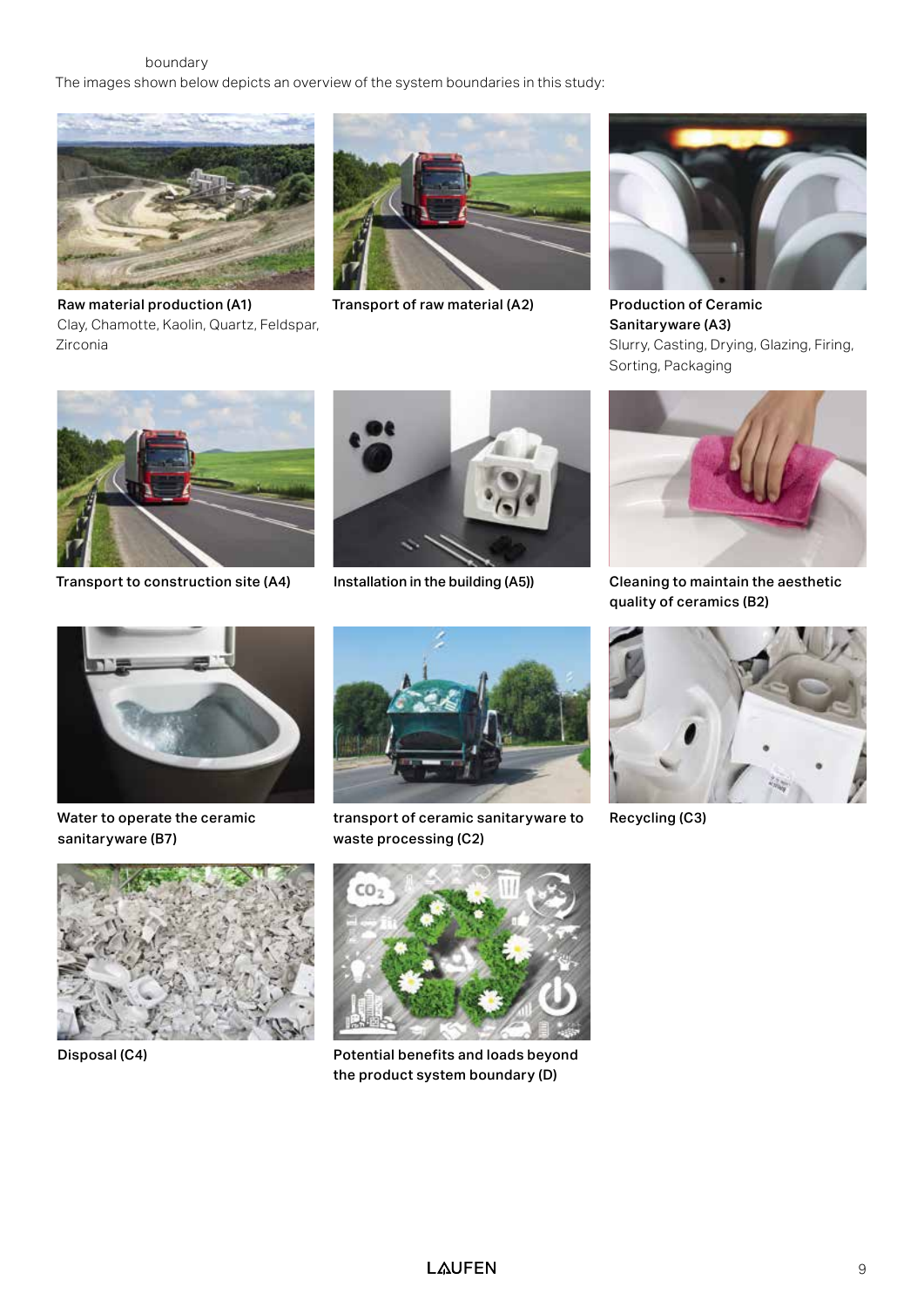boundary The images shown below depicts an overview of the system boundaries in this study:



Raw material production (A1) Clay, Chamotte, Kaolin, Quartz, Feldspar, Zirconia



Transport of raw material (A2) Production of Ceramic



Sanitaryware (A3) Slurry, Casting, Drying, Glazing, Firing, Sorting, Packaging



Transport to construction site (A4) Installation in the building (A5)) Cleaning to maintain the aesthetic





quality of ceramics (B2)



Water to operate the ceramic sanitaryware (B7)





transport of ceramic sanitaryware to waste processing (C2)



Disposal (C4) Potential benefits and loads beyond the product system boundary (D)



Recycling (C3)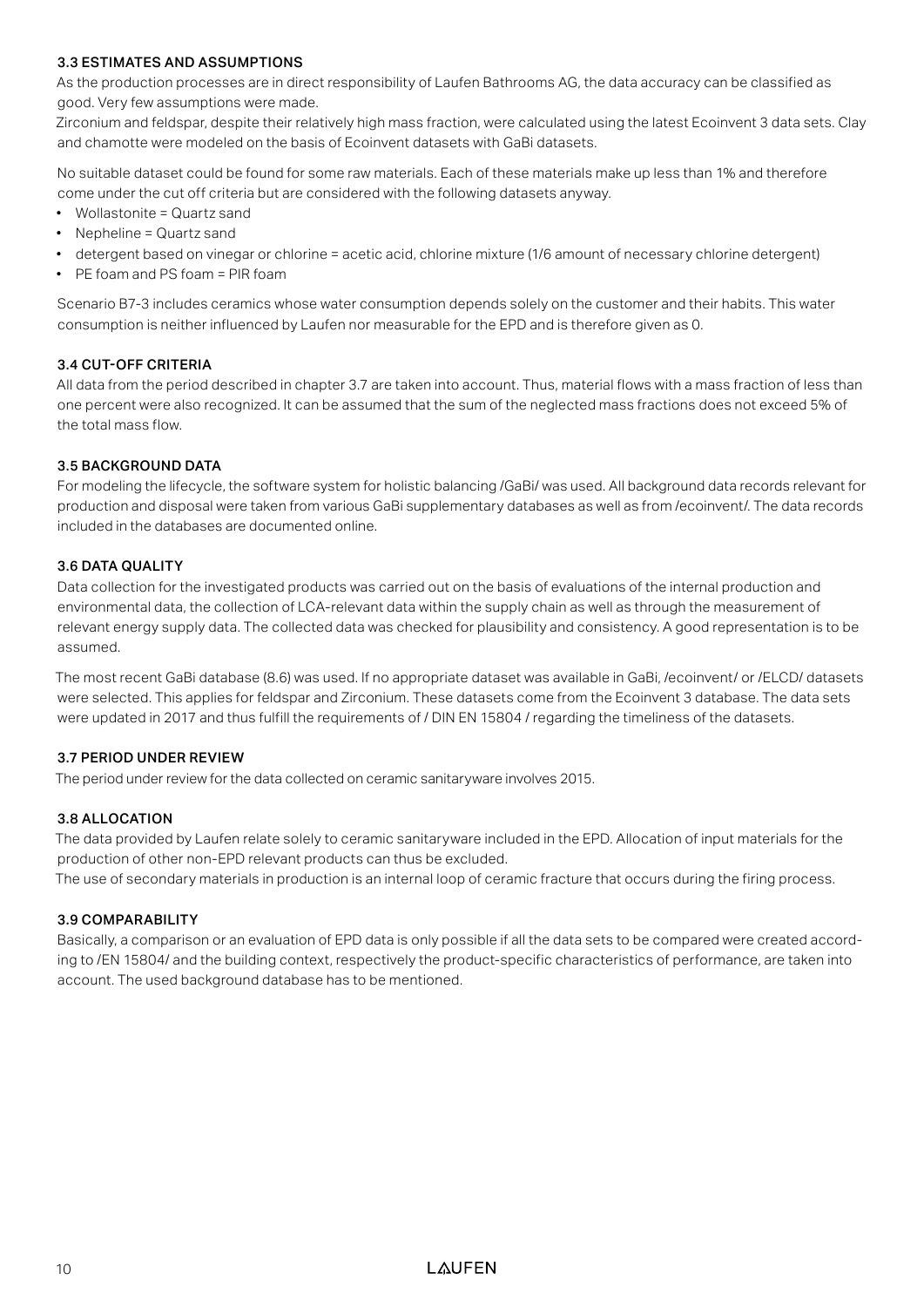#### 3.3 ESTIMATES AND ASSUMPTIONS

As the production processes are in direct responsibility of Laufen Bathrooms AG, the data accuracy can be classified as good. Very few assumptions were made.

Zirconium and feldspar, despite their relatively high mass fraction, were calculated using the latest Ecoinvent 3 data sets. Clay and chamotte were modeled on the basis of Ecoinvent datasets with GaBi datasets.

No suitable dataset could be found for some raw materials. Each of these materials make up less than 1% and therefore come under the cut off criteria but are considered with the following datasets anyway.

- Wollastonite = Quartz sand
- Nepheline = Quartz sand
- detergent based on vinegar or chlorine = acetic acid, chlorine mixture (1/6 amount of necessary chlorine detergent)
- PE foam and PS foam = PIR foam

Scenario B7-3 includes ceramics whose water consumption depends solely on the customer and their habits. This water consumption is neither influenced by Laufen nor measurable for the EPD and is therefore given as 0.

#### 3.4 CUT-OFF CRITERIA

All data from the period described in chapter 3.7 are taken into account. Thus, material flows with a mass fraction of less than one percent were also recognized. It can be assumed that the sum of the neglected mass fractions does not exceed 5% of the total mass flow.

#### 3.5 BACKGROUND DATA

For modeling the lifecycle, the software system for holistic balancing /GaBi/ was used. All background data records relevant for production and disposal were taken from various GaBi supplementary databases as well as from /ecoinvent/. The data records included in the databases are documented online.

#### 3.6 DATA QUALITY

Data collection for the investigated products was carried out on the basis of evaluations of the internal production and environmental data, the collection of LCA-relevant data within the supply chain as well as through the measurement of relevant energy supply data. The collected data was checked for plausibility and consistency. A good representation is to be assumed.

The most recent GaBi database (8.6) was used. If no appropriate dataset was available in GaBi, /ecoinvent/ or /ELCD/ datasets were selected. This applies for feldspar and Zirconium. These datasets come from the Ecoinvent 3 database. The data sets were updated in 2017 and thus fulfill the requirements of / DIN EN 15804 / regarding the timeliness of the datasets.

#### 3.7 PERIOD UNDER REVIEW

The period under review for the data collected on ceramic sanitaryware involves 2015.

#### 3.8 ALLOCATION

The data provided by Laufen relate solely to ceramic sanitaryware included in the EPD. Allocation of input materials for the production of other non-EPD relevant products can thus be excluded.

The use of secondary materials in production is an internal loop of ceramic fracture that occurs during the firing process.

#### 3.9 COMPARABILITY

Basically, a comparison or an evaluation of EPD data is only possible if all the data sets to be compared were created according to /EN 15804/ and the building context, respectively the product-specific characteristics of performance, are taken into account. The used background database has to be mentioned.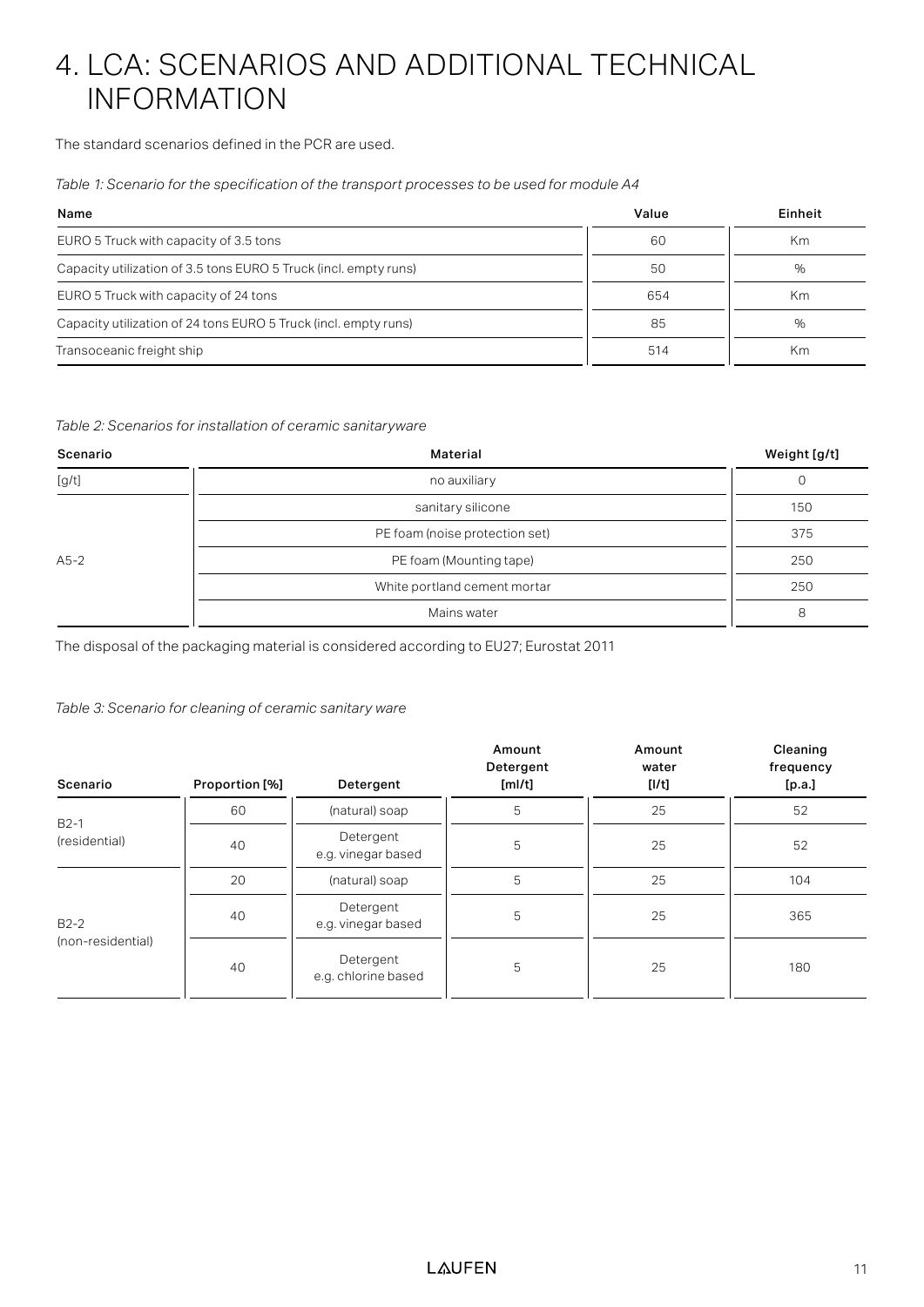## 4. LCA: SCENARIOS AND ADDITIONAL TECHNICAL INFORMATION

The standard scenarios defined in the PCR are used.

*Table 1: Scenario for the specification of the transport processes to be used for module A4*

| Name                                                             | Value | Einheit |
|------------------------------------------------------------------|-------|---------|
| EURO 5 Truck with capacity of 3.5 tons                           | 60    | Кm      |
| Capacity utilization of 3.5 tons EURO 5 Truck (incl. empty runs) | 50    | %       |
| EURO 5 Truck with capacity of 24 tons                            | 654   | Km      |
| Capacity utilization of 24 tons EURO 5 Truck (incl. empty runs)  | 85    | %       |
| Transoceanic freight ship                                        | 514   | Km      |

#### *Table 2: Scenarios for installation of ceramic sanitaryware*

| Scenario | Material                       | Weight [g/t] |
|----------|--------------------------------|--------------|
| [g/t]    | no auxiliary                   | 0            |
|          | sanitary silicone              | 150          |
|          | PE foam (noise protection set) | 375          |
| $A5-2$   | PE foam (Mounting tape)        | 250          |
|          | White portland cement mortar   | 250          |
|          | Mains water                    | 8            |

The disposal of the packaging material is considered according to EU27; Eurostat 2011

*Table 3: Scenario for cleaning of ceramic sanitary ware*

| Scenario          | Proportion [%] | Detergent                        | Amount<br>Detergent<br>[ml/t] | Amount<br>water<br>[1/t] | Cleaning<br>frequency<br>[p.a.] |  |  |
|-------------------|----------------|----------------------------------|-------------------------------|--------------------------|---------------------------------|--|--|
| $B2-1$            | 60             | (natural) soap                   | 5                             | 25                       | 52                              |  |  |
| (residential)     | 40             | Detergent<br>e.g. vinegar based  | 5                             | 25                       | 52                              |  |  |
|                   | 20             | (natural) soap                   | 5                             | 25                       | 104                             |  |  |
| $B2-2$            | 40             | Detergent<br>e.g. vinegar based  | 5                             | 25                       | 365                             |  |  |
| (non-residential) | 40             | Detergent<br>e.g. chlorine based | 5                             | 25                       | 180                             |  |  |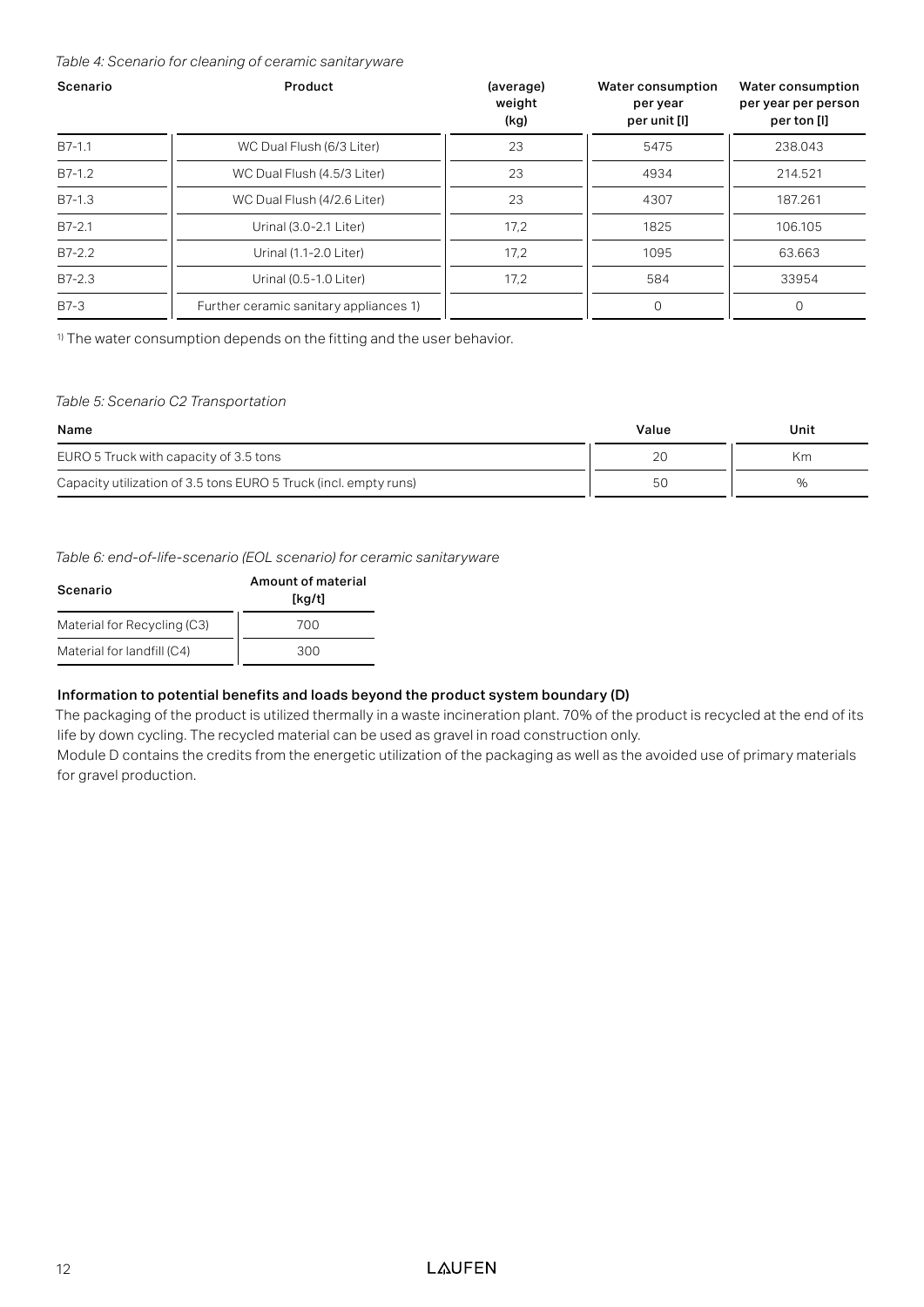*Table 4: Scenario for cleaning of ceramic sanitaryware* 

| Scenario   | Product                                | (average)<br>weight<br>(kg) | Water consumption<br>per year<br>per unit [I] | Water consumption<br>per year per person<br>per ton [l] |
|------------|----------------------------------------|-----------------------------|-----------------------------------------------|---------------------------------------------------------|
| B7-1.1     | WC Dual Flush (6/3 Liter)              | 23                          | 5475                                          | 238.043                                                 |
| $B7-1.2$   | WC Dual Flush (4.5/3 Liter)            | 23                          | 4934                                          | 214.521                                                 |
| $B7-1.3$   | WC Dual Flush (4/2.6 Liter)            | 23                          | 4307                                          | 187.261                                                 |
| $B7 - 2.1$ | Urinal (3.0-2.1 Liter)                 | 17,2                        | 1825                                          | 106.105                                                 |
| $B7-2.2$   | Urinal (1.1-2.0 Liter)                 | 17.2                        | 1095                                          | 63.663                                                  |
| $B7-2.3$   | Urinal (0.5-1.0 Liter)                 | 17,2                        | 584                                           | 33954                                                   |
| B7-3       | Further ceramic sanitary appliances 1) |                             | $\circ$                                       | $\circ$                                                 |

<sup>1)</sup> The water consumption depends on the fitting and the user behavior.

#### *Table 5: Scenario C2 Transportation*

| Name                                                             | Value | Unit |
|------------------------------------------------------------------|-------|------|
| EURO 5 Truck with capacity of 3.5 tons                           | 20    | Кm   |
| Capacity utilization of 3.5 tons EURO 5 Truck (incl. empty runs) | 50    | %    |

*Table 6: end-of-life-scenario (EOL scenario) for ceramic sanitaryware*

| Scenario                    | Amount of material<br>[kg/t] |
|-----------------------------|------------------------------|
| Material for Recycling (C3) | 700                          |
| Material for landfill (C4)  | 300                          |

#### Information to potential benefits and loads beyond the product system boundary (D)

The packaging of the product is utilized thermally in a waste incineration plant. 70% of the product is recycled at the end of its life by down cycling. The recycled material can be used as gravel in road construction only.

Module D contains the credits from the energetic utilization of the packaging as well as the avoided use of primary materials for gravel production.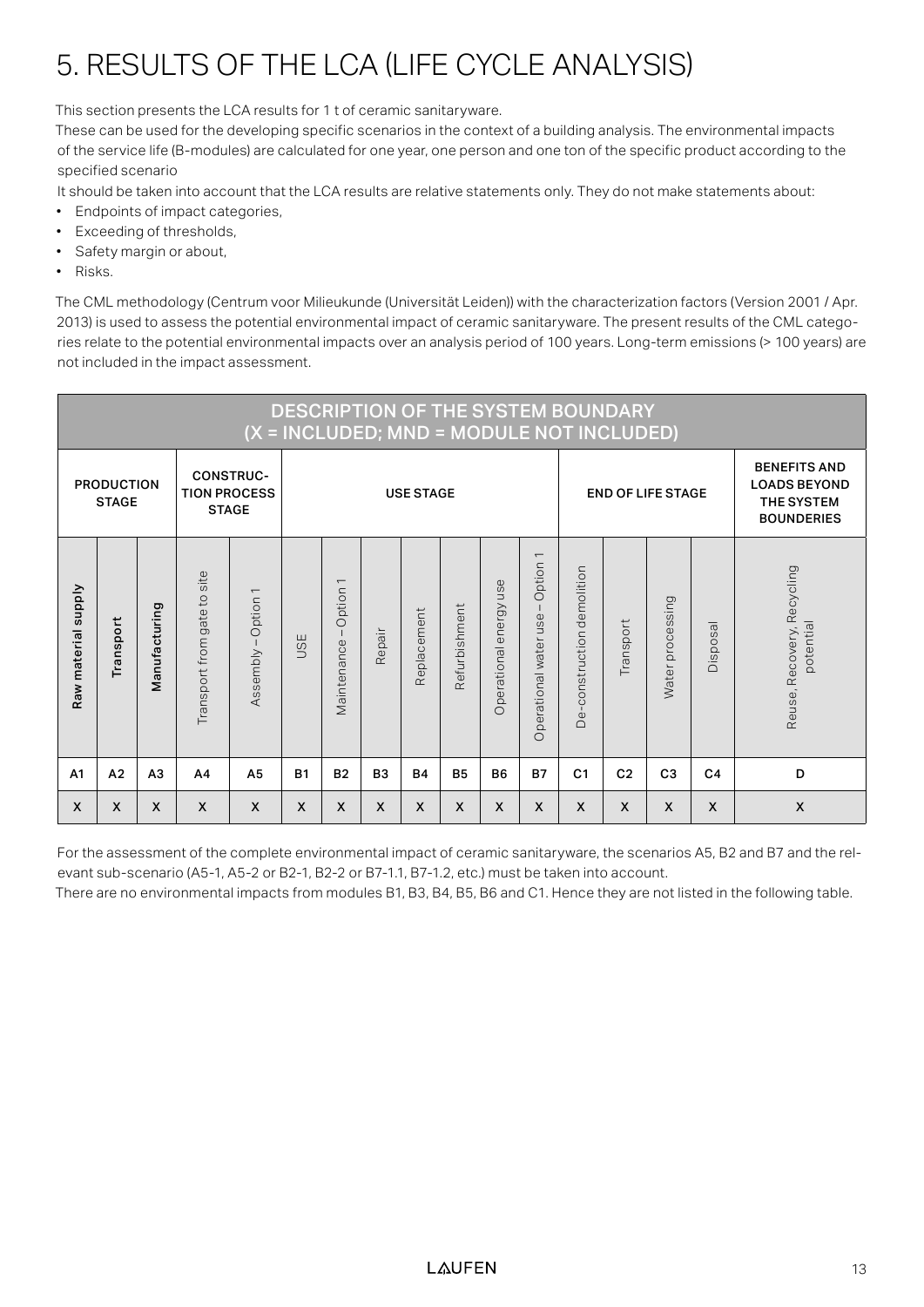## 5. RESULTS OF THE LCA (LIFE CYCLE ANALYSIS)

This section presents the LCA results for 1 t of ceramic sanitaryware.

These can be used for the developing specific scenarios in the context of a building analysis. The environmental impacts of the service life (B-modules) are calculated for one year, one person and one ton of the specific product according to the specified scenario

It should be taken into account that the LCA results are relative statements only. They do not make statements about:

- Endpoints of impact categories,
- Exceeding of thresholds,
- Safety margin or about,
- Risks.

The CML methodology (Centrum voor Milieukunde (Universität Leiden)) with the characterization factors (Version 2001 / Apr. 2013) is used to assess the potential environmental impact of ceramic sanitaryware. The present results of the CML categories relate to the potential environmental impacts over an analysis period of 100 years. Long-term emissions (> 100 years) are not included in the impact assessment.

|                                                                                              | <b>DESCRIPTION OF THE SYSTEM BOUNDARY</b><br>(X = INCLUDED; MND = MODULE NOT INCLUDED) |                |                                                    |                                      |            |                                                   |                |             |               |                                 |                                                   |                            |                           |                                                                                      |                 |                                         |
|----------------------------------------------------------------------------------------------|----------------------------------------------------------------------------------------|----------------|----------------------------------------------------|--------------------------------------|------------|---------------------------------------------------|----------------|-------------|---------------|---------------------------------|---------------------------------------------------|----------------------------|---------------------------|--------------------------------------------------------------------------------------|-----------------|-----------------------------------------|
| <b>CONSTRUC-</b><br><b>PRODUCTION</b><br><b>TION PROCESS</b><br><b>STAGE</b><br><b>STAGE</b> |                                                                                        |                |                                                    | <b>USE STAGE</b>                     |            |                                                   |                |             |               |                                 |                                                   |                            | <b>END OF LIFE STAGE</b>  | <b>BENEFITS AND</b><br><b>LOADS BEYOND</b><br><b>THE SYSTEM</b><br><b>BOUNDERIES</b> |                 |                                         |
| <b>Supply</b><br>Raw material                                                                | Transport                                                                              | Manufacturing  | site<br>$\overline{c}$<br>gate t<br>Transport from | $\overline{ }$<br>Option<br>Assembly | <b>USE</b> | $\overline{\phantom{0}}$<br>Option<br>Vaintenance | Repair         | Replacement | Refurbishment | use<br>ergy<br>έ<br>Operational | $\overline{ }$<br>Option<br>Operational water use | De-construction demolition | Transport                 | Water processing                                                                     | <b>Disposal</b> | Reuse, Recovery, Recycling<br>potential |
| A <sub>1</sub>                                                                               | A <sub>2</sub>                                                                         | A <sub>3</sub> | A <sub>4</sub>                                     | A <sub>5</sub>                       | <b>B1</b>  | <b>B2</b>                                         | B <sub>3</sub> | <b>B4</b>   | <b>B5</b>     | <b>B6</b>                       | <b>B7</b>                                         | C <sub>1</sub>             | C <sub>2</sub>            | C <sub>3</sub>                                                                       | C <sub>4</sub>  | D                                       |
| X                                                                                            | X                                                                                      | X              | X                                                  | X                                    | X          | X                                                 | X              | X           | X             | X                               | X                                                 | $\boldsymbol{\mathsf{x}}$  | $\boldsymbol{\mathsf{X}}$ | X                                                                                    | X               | $\boldsymbol{\mathsf{X}}$               |

For the assessment of the complete environmental impact of ceramic sanitaryware, the scenarios A5, B2 and B7 and the relevant sub-scenario (A5-1, A5-2 or B2-1, B2-2 or B7-1.1, B7-1.2, etc.) must be taken into account.

There are no environmental impacts from modules B1, B3, B4, B5, B6 and C1. Hence they are not listed in the following table.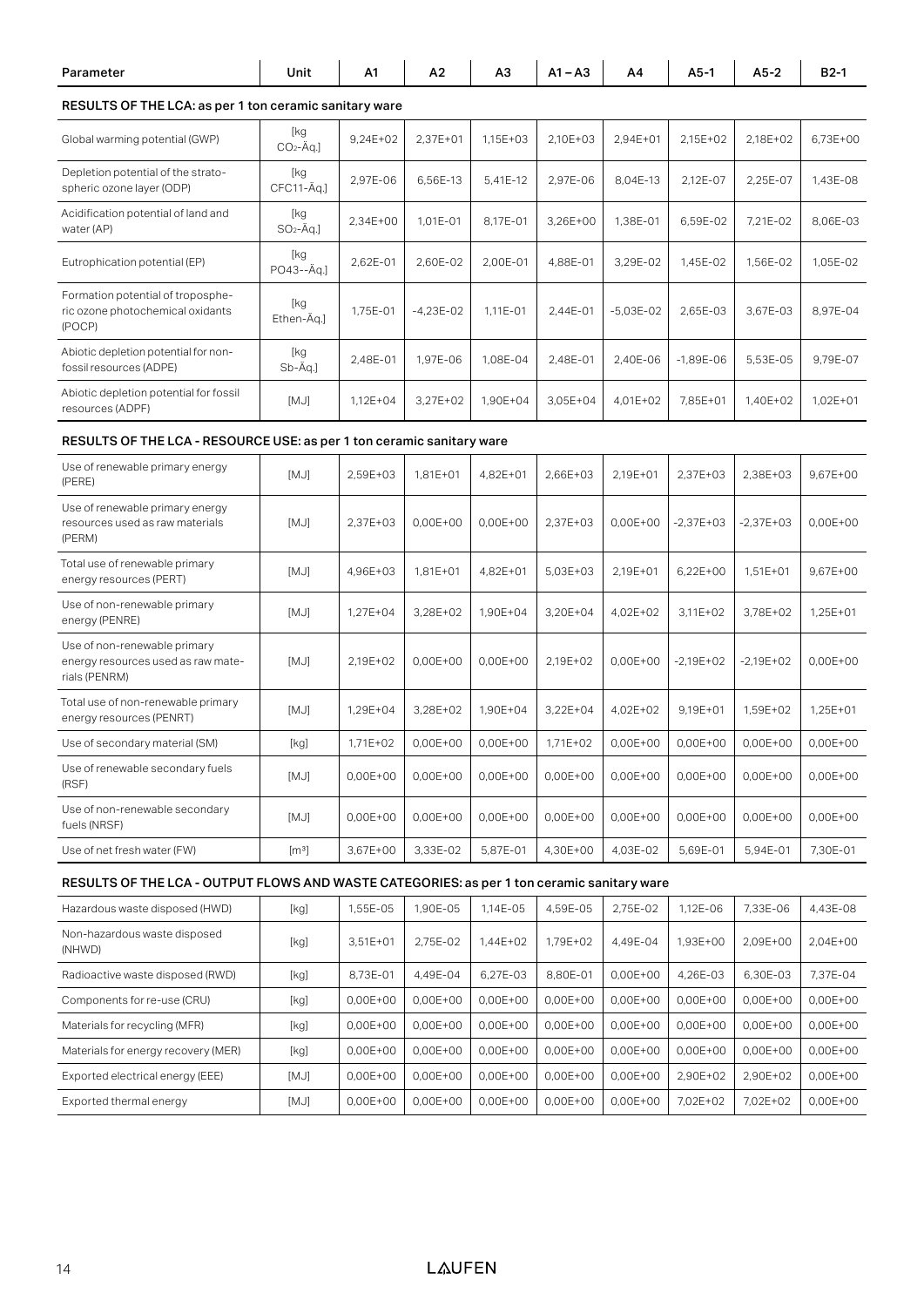| Parameter                                                                                  | Unit                                                                                                                                                                                                                                                                                                                                                                                                                                                                                                                                                                                                                                                               | A1         | А2         | A3         | $A1 - A3$                    | A4                      | $A5-1$       | A5-2        | $B2-1$     |
|--------------------------------------------------------------------------------------------|--------------------------------------------------------------------------------------------------------------------------------------------------------------------------------------------------------------------------------------------------------------------------------------------------------------------------------------------------------------------------------------------------------------------------------------------------------------------------------------------------------------------------------------------------------------------------------------------------------------------------------------------------------------------|------------|------------|------------|------------------------------|-------------------------|--------------|-------------|------------|
| RESULTS OF THE LCA: as per 1 ton ceramic sanitary ware                                     |                                                                                                                                                                                                                                                                                                                                                                                                                                                                                                                                                                                                                                                                    |            |            |            |                              |                         |              |             |            |
| Global warming potential (GWP)                                                             | [kg<br>$CO2 - \text{Ag.}$                                                                                                                                                                                                                                                                                                                                                                                                                                                                                                                                                                                                                                          | 9,24E+02   | 2,37E+01   | 1,15E+03   | 2,10E+03                     | 2,94E+01                | 2,15E+02     | 2,18E+02    | 6,73E+00   |
| Depletion potential of the strato-<br>spheric ozone layer (ODP)                            | [kg<br>CFC11-Äq.]                                                                                                                                                                                                                                                                                                                                                                                                                                                                                                                                                                                                                                                  | 2,97E-06   | 6,56E-13   | 5,41E-12   | 2,97E-06                     | 8,04E-13                | 2,12E-07     | 2,25E-07    | 1,43E-08   |
| Acidification potential of land and<br>water (AP)                                          | [kg<br>$SO_2$ -Äq.]                                                                                                                                                                                                                                                                                                                                                                                                                                                                                                                                                                                                                                                | 2,34E+00   | 1,01E-01   | 8,17E-01   | 3,26E+00                     | 1,38E-01                | 6,59E-02     | 7,21E-02    | 8,06E-03   |
| Eutrophication potential (EP)                                                              | [kg<br>PO43--Äq.]                                                                                                                                                                                                                                                                                                                                                                                                                                                                                                                                                                                                                                                  | 2,62E-01   | 2,60E-02   | 2,00E-01   | 4,88E-01                     | 3,29E-02                | 1,45E-02     | 1,56E-02    | 1,05E-02   |
| Formation potential of troposphe-<br>ric ozone photochemical oxidants<br>(POCP)            | [kg<br>Ethen-Äq.]                                                                                                                                                                                                                                                                                                                                                                                                                                                                                                                                                                                                                                                  | 1,75E-01   | -4,23E-02  | 1,11E-01   | 2,44E-01                     | $-5,03E-02$             | 2,65E-03     | 3,67E-03    | 8,97E-04   |
| Abiotic depletion potential for non-<br>fossil resources (ADPE)                            | [kg<br>Sb-Äq.]                                                                                                                                                                                                                                                                                                                                                                                                                                                                                                                                                                                                                                                     | 2,48E-01   | 1,97E-06   | 1,08E-04   | 2,48E-01                     | 2,40E-06                | $-1,89E-06$  | 5,53E-05    | 9,79E-07   |
| Abiotic depletion potential for fossil<br>resources (ADPF)                                 | [MJ]                                                                                                                                                                                                                                                                                                                                                                                                                                                                                                                                                                                                                                                               | 1,12E+04   | 3,27E+02   | 1,90E+04   | 3,05E+04                     | 4,01E+02                | 7,85E+01     | 1,40E+02    | 1,02E+01   |
| RESULTS OF THE LCA - RESOURCE USE: as per 1 ton ceramic sanitary ware                      |                                                                                                                                                                                                                                                                                                                                                                                                                                                                                                                                                                                                                                                                    |            |            |            |                              |                         |              |             |            |
| Use of renewable primary energy<br>(PERE)                                                  | [MJ]                                                                                                                                                                                                                                                                                                                                                                                                                                                                                                                                                                                                                                                               | 2,59E+03   | 1,81E+01   | 4,82E+01   | 2,66E+03                     | 2,19E+01                | 2,37E+03     | 2,38E+03    | 9,67E+00   |
| Use of renewable primary energy<br>resources used as raw materials<br>(PERM)               | [MJ]                                                                                                                                                                                                                                                                                                                                                                                                                                                                                                                                                                                                                                                               | 2,37E+03   | $0,00E+00$ | 0,00E+00   | 2,37E+03                     | $0,00E+00$              | $-2,37E+03$  | $-2,37E+03$ | $0,00E+00$ |
| Total use of renewable primary<br>energy resources (PERT)                                  | [MJ]                                                                                                                                                                                                                                                                                                                                                                                                                                                                                                                                                                                                                                                               | 4,96E+03   | $1,81E+01$ | 4,82E+01   | $5,03E+03$                   | 2,19E+01                | $6,22E+00$   | $1,51E+01$  | 9,67E+00   |
| Use of non-renewable primary<br>energy (PENRE)                                             | [MJ]                                                                                                                                                                                                                                                                                                                                                                                                                                                                                                                                                                                                                                                               | 1,27E+04   | 3,28E+02   | 1,90E+04   | 3,20E+04                     | 4,02E+02                | 3,11E+02     | 3,78E+02    | 1,25E+01   |
| Use of non-renewable primary<br>energy resources used as raw mate-<br>rials (PENRM)        | [MJ]                                                                                                                                                                                                                                                                                                                                                                                                                                                                                                                                                                                                                                                               | 2,19E+02   | 0,00E+00   | $0,00E+00$ | 2,19E+02                     | 0,00E+00                | $-2,19E+02$  | $-2,19E+02$ | $0,00E+00$ |
| Total use of non-renewable primary<br>energy resources (PENRT)                             | [MJ]                                                                                                                                                                                                                                                                                                                                                                                                                                                                                                                                                                                                                                                               | 1,29E+04   | 3,28E+02   | 1,90E+04   | $3,22E+04$                   | 4,02E+02                | 9,19E+01     | 1,59E+02    | 1,25E+01   |
| Use of secondary material (SM)                                                             | $[kg] % \begin{center} % \includegraphics[width=\linewidth]{imagesSupplemental_3.png} % \end{center} % \caption { % \textit{DefNet} of the \textit{DefNet} dataset. % Note that the \textit{DefNet} and \textit{DefNet} dataset. % Note that the \textit{DefNet} and \textit{DefNet} dataset. % Note that the \textit{DefNet} and \textit{DefNet} dataset. % Note that the \textit{DefNet} and \textit{DefNet} dataset. % Note that the \textit{DefNet} and \textit{DefNet} dataset. % Note that the \textit{DefNet} and \textit{DefNet} dataset. % Note that the \textit{DefNet} and \textit{DefNet} dataset. % Note that the \textit{DefNet} and \textit{DefNet$ | 1,71E+02   | 0,00E+00   | $0,00E+00$ | 1,71E+02                     | 0,00E+00                | 0,00E+00     | 0,00E+00    | 0,00E+00   |
| Use of renewable secondary fuels<br>(RSF)                                                  | [MJ]                                                                                                                                                                                                                                                                                                                                                                                                                                                                                                                                                                                                                                                               | 0,00E+00   | $0,00E+00$ | $0,00E+00$ |                              | $0,00E+00$   $0,00E+00$ | $0,00E + 00$ | $0,00E+00$  | 0,00E+00   |
| Use of non-renewable secondary<br>fuels (NRSF)                                             | [MJ]                                                                                                                                                                                                                                                                                                                                                                                                                                                                                                                                                                                                                                                               | 0,00E+00   | 0,00E+00   | 0,00E+00   | 0,00E+00                     | 0,00E+00                | 0,00E+00     | 0,00E+00    | $0,00E+00$ |
| Use of net fresh water (FW)                                                                | $[m^3]$                                                                                                                                                                                                                                                                                                                                                                                                                                                                                                                                                                                                                                                            | 3,67E+00   | 3,33E-02   | 5,87E-01   | 4,30E+00                     | 4,03E-02                | 5,69E-01     | 5,94E-01    | 7,30E-01   |
| RESULTS OF THE LCA - OUTPUT FLOWS AND WASTE CATEGORIES: as per 1 ton ceramic sanitary ware |                                                                                                                                                                                                                                                                                                                                                                                                                                                                                                                                                                                                                                                                    |            |            |            |                              |                         |              |             |            |
| Hazardous waste disposed (HWD)                                                             | [kg]                                                                                                                                                                                                                                                                                                                                                                                                                                                                                                                                                                                                                                                               | 1,55E-05   | 1,90E-05   | 1,14E-05   | $4,59E-05$                   | 2,75E-02                | 1,12E-06     | 7,33E-06    | 4,43E-08   |
| Non-hazardous waste disposed<br>(NHWD)                                                     | [kg]                                                                                                                                                                                                                                                                                                                                                                                                                                                                                                                                                                                                                                                               | $3,51E+01$ | 2,75E-02   | 1,44E+02   | 1,79E+02                     | 4,49E-04                | 1,93E+00     | 2,09E+00    | 2,04E+00   |
| Radioactive waste disposed (RWD)                                                           | [kg]                                                                                                                                                                                                                                                                                                                                                                                                                                                                                                                                                                                                                                                               | 8,73E-01   | 4,49E-04   | 6,27E-03   | 8,80E-01                     | 0,00E+00                | 4,26E-03     | 6,30E-03    | 7,37E-04   |
| Components for re-use (CRU)                                                                | [kg]                                                                                                                                                                                                                                                                                                                                                                                                                                                                                                                                                                                                                                                               | 0,00E+00   | 0,00E+00   | 0,00E+00   | 0,00E+00                     | 0,00E+00                | $0,00E+00$   | 0,00E+00    | 0,00E+00   |
| Materials for recycling (MFR)                                                              | [kg]                                                                                                                                                                                                                                                                                                                                                                                                                                                                                                                                                                                                                                                               | 0,00E+00   | 0,00E+00   | 0,00E+00   | 0,00E+00                     | 0,00E+00                | 0,00E+00     | 0,00E+00    | 0,00E+00   |
| Materials for energy recovery (MER)                                                        | [kg]                                                                                                                                                                                                                                                                                                                                                                                                                                                                                                                                                                                                                                                               | $0,00E+00$ | $0,00E+00$ | $0,00E+00$ | 0,00E+00                     | 0,00E+00                | $0,00E + 00$ | 0,00E+00    | 0,00E+00   |
| Exported electrical energy (EEE)                                                           | [MJ]                                                                                                                                                                                                                                                                                                                                                                                                                                                                                                                                                                                                                                                               | 0,00E+00   | 0,00E+00   | 0,00E+00   | 0,00E+00                     | 0,00E+00                | 2,90E+02     | 2,90E+02    | 0,00E+00   |
| Exported thermal energy                                                                    | [MJ]                                                                                                                                                                                                                                                                                                                                                                                                                                                                                                                                                                                                                                                               | 0,00E+00   | 0,00E+00   |            | $0,00E+00$ 0,00E+00 0,00E+00 |                         | 7,02E+02     | 7,02E+02    | 0,00E+00   |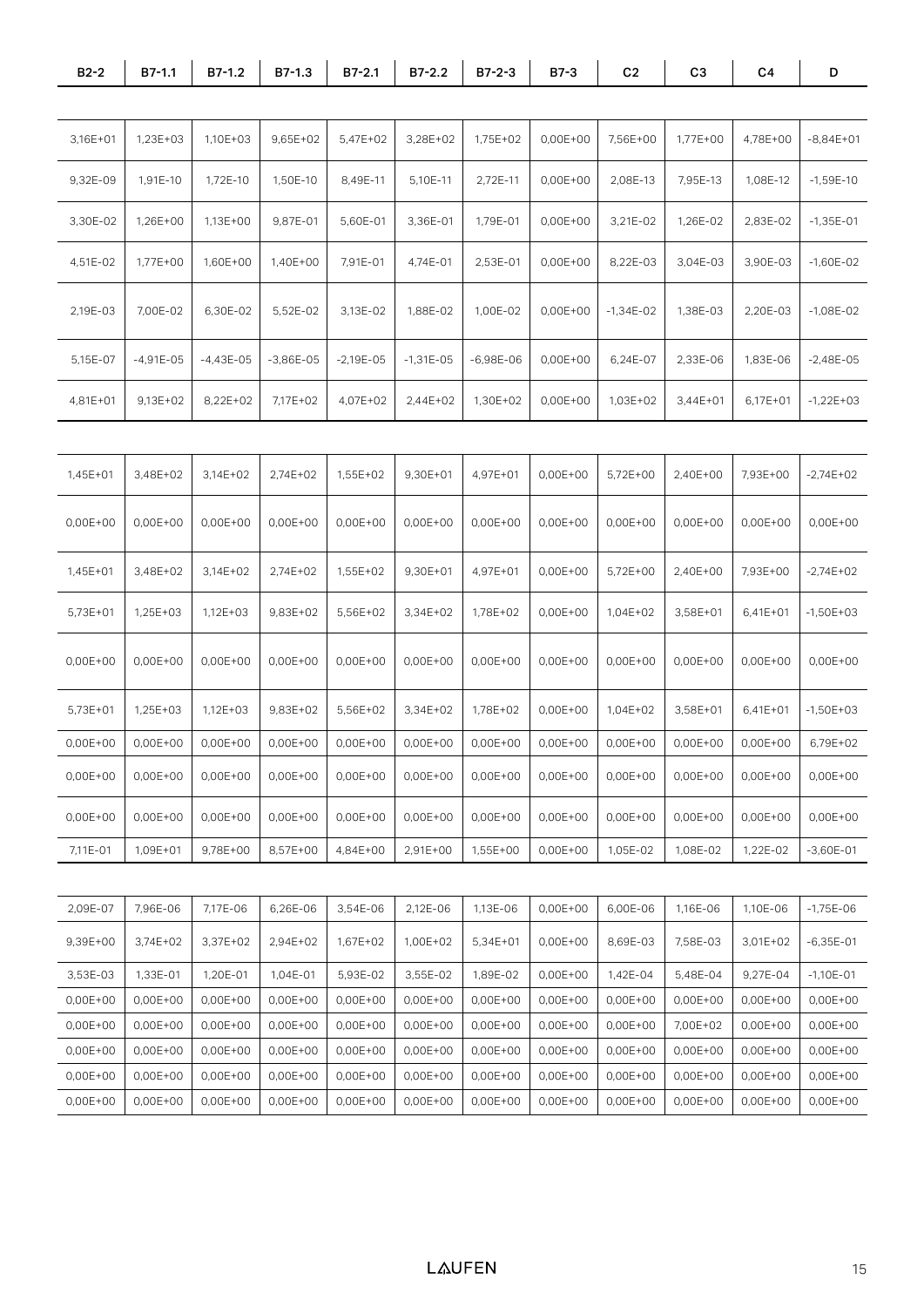| $B2-2$                                                                                                                          | B7-1.1    | B7-1.2            | B7-1.3      | B7-2.1                     | B7-2.2            | $B7-2-3$       | B7-3              | C <sub>2</sub>                   | C <sub>3</sub>                                                               | C4                               | D            |
|---------------------------------------------------------------------------------------------------------------------------------|-----------|-------------------|-------------|----------------------------|-------------------|----------------|-------------------|----------------------------------|------------------------------------------------------------------------------|----------------------------------|--------------|
|                                                                                                                                 |           |                   |             |                            |                   |                |                   |                                  |                                                                              |                                  |              |
| 3,16E+01                                                                                                                        | 1,23E+03  | 1,10E+03          | 9,65E+02    | 5,47E+02                   | 3,28E+02          | 1,75E+02       | $0,00E+00$        | 7,56E+00                         | 1,77E+00                                                                     | 4,78E+00                         | $-8,84E+01$  |
| 9,32E-09                                                                                                                        | 1,91E-10  | 1,72E-10          | 1,50E-10    | 8,49E-11                   | 5,10E-11          | 2,72E-11       | $0,00E+00$        | 2,08E-13                         | 7,95E-13                                                                     | $1,08E-12$                       | $-1,59E-10$  |
| 3,30E-02                                                                                                                        | 1,26E+00  | 1,13E+00          | 9,87E-01    | 5,60E-01                   | 3,36E-01          | 1,79E-01       |                   | $0,00E+00$ 3,21E-02              | 1,26E-02                                                                     | $2,83E-02$                       | $-1,35E-01$  |
| $4,51E-02$                                                                                                                      | 1,77E+00  | 1,60E+00          | 1,40E+00    | 7,91E-01                   | 4,74E-01          | 2,53E-01       |                   | $0,00E+00$ 8,22E-03              | $3,04E-03$                                                                   | $3,90E-03$                       | $-1,60E-02$  |
| 2,19E-03                                                                                                                        | 7,00E-02  | 6,30E-02          | 5,52E-02    | 3,13E-02                   | 1,88E-02          | 1,00E-02       |                   | $0,00E+00$ -1,34E-02             | 1,38E-03                                                                     | $2,20E-03$                       | $-1,08E-02$  |
| 5,15E-07                                                                                                                        | -4,91E-05 | $-4,43E-05$       | $-3,86E-05$ | $-2,19E-05$                | $-1,31E-05$       | -6,98E-06      | $0,00E+00$        | 6,24E-07                         | 2,33E-06                                                                     | 1,83E-06                         | $-2,48E-05$  |
| 4,81E+01   9,13E+02   8,22E+02                                                                                                  |           |                   | 7,17E+02    |                            | 4,07E+02 2,44E+02 | $1,30E+02$     | $0,00E+00$        | 1,03E+02                         | $3,44E+01$                                                                   | $6,17E+01$ -1,22E+03             |              |
|                                                                                                                                 |           |                   |             |                            |                   |                |                   |                                  |                                                                              |                                  |              |
| 1,45E+01                                                                                                                        | 3,48E+02  | 3,14E+02          | 2,74E+02    | 1,55E+02                   | 9,30E+01          | 4,97E+01       | 0,00E+00          | $5,72E+00$                       | 2,40E+00                                                                     | 7,93E+00                         | $-2,74E+02$  |
| $0,00E+00$                                                                                                                      | 0,00E+00  | 0,00E+00          | 0,00E+00    | 0,00E+00                   | 0,00E+00          |                |                   | $0,00E+00$   0,00E+00   0,00E+00 | $0,00E+00$                                                                   | 0,00E+00                         | $0,00E + 00$ |
| 1,45E+01                                                                                                                        | 3,48E+02  | 3,14E+02          | 2,74E+02    | 1,55E+02                   | 9,30E+01          | 4,97E+01       |                   | $0,00E+00$   5,72E+00            | 2,40E+00                                                                     | 7,93E+00   -2,74E+02             |              |
| 5,73E+01                                                                                                                        | 1,25E+03  | 1,12E+03          | 9,83E+02    | 5,56E+02                   | 3,34E+02          | 1,78E+02       | 0,00E+00          | 1,04E+02                         | $3,58E+01$                                                                   | $6,41E+01$ -1,50E+03             |              |
| 0,00E+00                                                                                                                        | 0,00E+00  |                   |             | 0,00E+00 0,00E+00 0,00E+00 |                   |                |                   |                                  | $0,00E+00$ 0.00E+00 0.00E+00 0.00E+00 0.00E+00 0.00E+00 0.00E+00             |                                  |              |
| 5,73E+01                                                                                                                        | 1,25E+03  | 1,12E+03          | 9,83E+02    | 5,56E+02                   | 3,34E+02          | 1,78E+02       |                   | $0,00E+00$   1,04E+02            | $3,58E+01$                                                                   | 6,41E+01                         | $-1,50E+03$  |
| $0.00E+00$ 0.00E+00 0.00E+00 0.00E+00 0.00E+00 0.00E+00 0.00E+00 0.00E+00 0.00E+00 0.00E+00 0.00E+00 0.00E+00 0.00E+00 0.79E+02 |           |                   |             |                            |                   |                |                   |                                  |                                                                              |                                  |              |
| 0,00E+00   0,00E+00   0,00E+00   0,00E+00   0,00E+00                                                                            |           |                   |             |                            |                   |                |                   |                                  | $0,00E+00$   0,00E+00   0,00E+00   0,00E+00   0,00E+00   0,00E+00   0,00E+00 |                                  |              |
| 0,00E+00                                                                                                                        | 0,00E+00  | 0,00E+00          |             | $0,00E+00$ 0,00E+00        | 0,00E+00          | 0,00E+00       |                   | 0,00E+00 0,00E+00                | $0,00E+00$                                                                   | $0,00E+00$                       | $0,00E+00$   |
| 7,11E-01                                                                                                                        | 1,09E+01  | 9,78E+00          |             | 8,57E+00 4,84E+00          | 2,91E+00          |                | 1,55E+00 0,00E+00 | 1,05E-02                         | 1,08E-02                                                                     |                                  |              |
|                                                                                                                                 |           |                   |             |                            |                   |                |                   |                                  |                                                                              |                                  |              |
| 2,09E-07                                                                                                                        | 7,96E-06  | 7,17E-06          | 6,26E-06    | 3,54E-06                   | 2,12E-06          | 1,13E-06       |                   | 0,00E+00 6,00E-06                | 1,16E-06                                                                     |                                  |              |
| 9,39E+00                                                                                                                        |           | 3,74E+02 3,37E+02 | 2,94E+02    | 1,67E+02                   | 1,00E+02          | 5,34E+01       |                   | 0,00E+00   8,69E-03              | 7,58E-03                                                                     | $3,01E+02$ -6,35E-01             |              |
| 3,53E-03                                                                                                                        | 1,33E-01  | 1,20E-01          | 1,04E-01    | 5,93E-02                   | 3,55E-02          | 1,89E-02       | $0,00E+00$        | 1,42E-04                         | 5,48E-04                                                                     | $9,27E-04$                       | $-1,10E-01$  |
| 0,00E+00                                                                                                                        | 0,00E+00  | 0,00E+00          | 0,00E+00    | 0,00E+00                   | 0,00E+00          | 0,00E+00       |                   | $0,00E+00$ 0.00E+00              | 0,00E+00                                                                     | $0,00E+00$                       | 0,00E+00     |
| 0,00E+00                                                                                                                        | 0,00E+00  | 0,00E+00          | 0,00E+00    | 0,00E+00                   | 0,00E+00          | 0,00E+00       |                   | $0,00E+00$ 0.00E+00              | 7,00E+02                                                                     | $0,00E+00$ 0.00E+00              |              |
| 0,00E+00                                                                                                                        | 0,00E+00  | 0,00E+00          | 0,00E+00    | 0,00E+00                   | 0,00E+00          | 0,00E+00       |                   | $0,00E+00$ 0.00E+00              | 0,00E+00                                                                     | $0,00E+00$                       | 0,00E+00     |
| $0,00E+00$                                                                                                                      | 0,00E+00  | 0,00E+00          |             | 0,00E+00 0,00E+00          | 0,00E+00          | $  0,00E+00  $ |                   | 0,00E+00 0,00E+00                |                                                                              | $0,00E+00$   0,00E+00   0,00E+00 |              |

Exported thermal energy [MJ] 0,00E+00 0,00E+00 0,00E+00 0,00E+00 0,00E+00 7,02E+02 7,02E+02 0,00E+00 0,00E+00 0,00E+00 0,00E+00 0,00E+00 0,00E+00 0,00E+00 0,00E+00 0,00E+00 0,00E+00 0,00E+00 0,00E+00 0,00E+00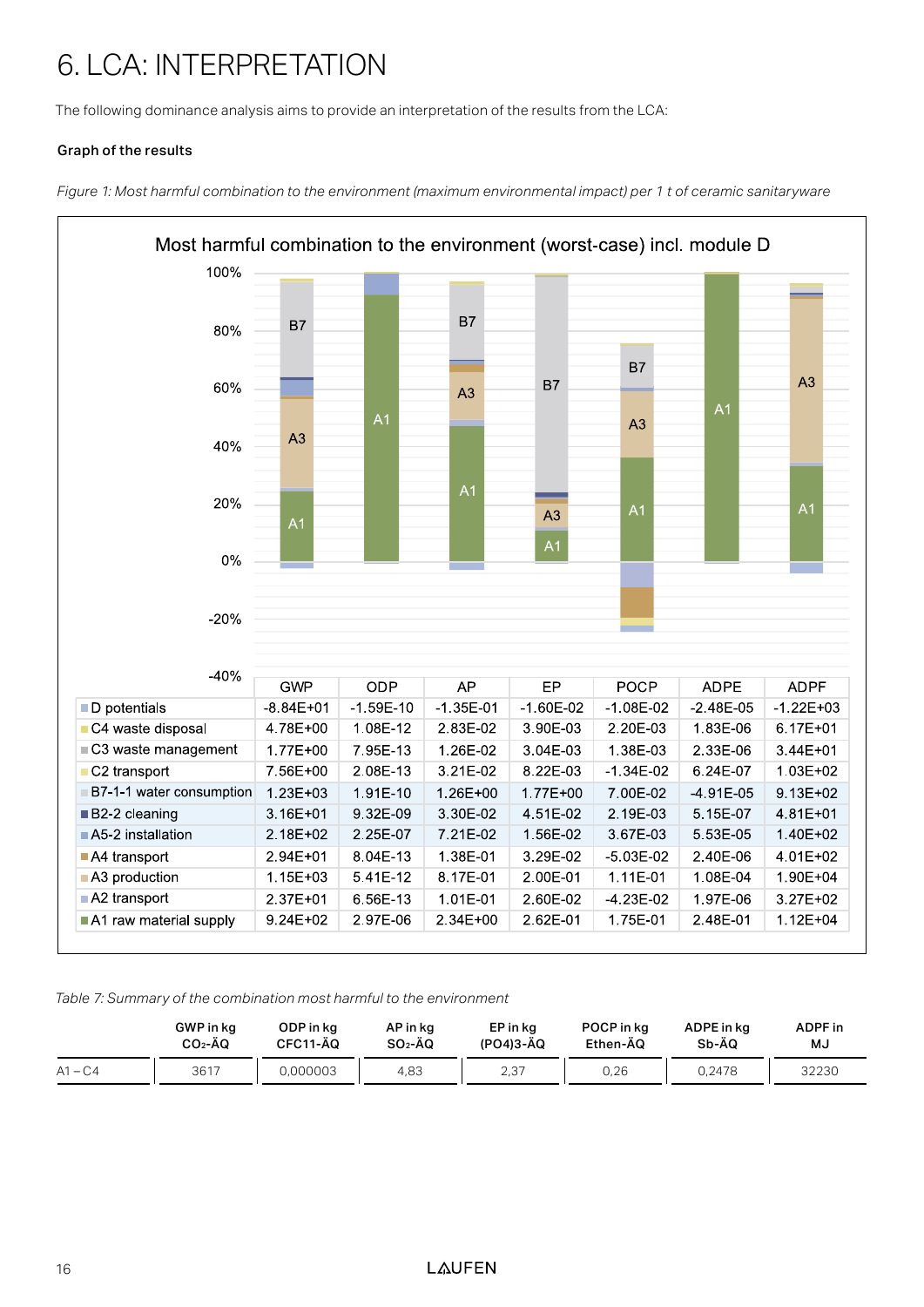## 6. LCA: INTERPRETATION

The following dominance analysis aims to provide an interpretation of the results from the LCA:

#### Graph of the results

*Figure 1: Most harmful combination to the environment (maximum environmental impact) per 1 t of ceramic sanitaryware*



#### *Table 7: Summary of the combination most harmful to the environment*

|           | GWP in kg | ODP in kg | AP in kg  | EP in kg  | POCP in ka | ADPE in ka | ADPF in |
|-----------|-----------|-----------|-----------|-----------|------------|------------|---------|
|           | $CO2$ -ÃQ | CFC11-ÄQ  | $SO2$ -ÄQ | (PO4)3-AQ | Ethen-AQ   | Sb-ÄQ      | MJ      |
| $A1 - C4$ | 3617      | 0.000003  | 4.83      | 2,37      | 0,26       | 0.2478     | 32230   |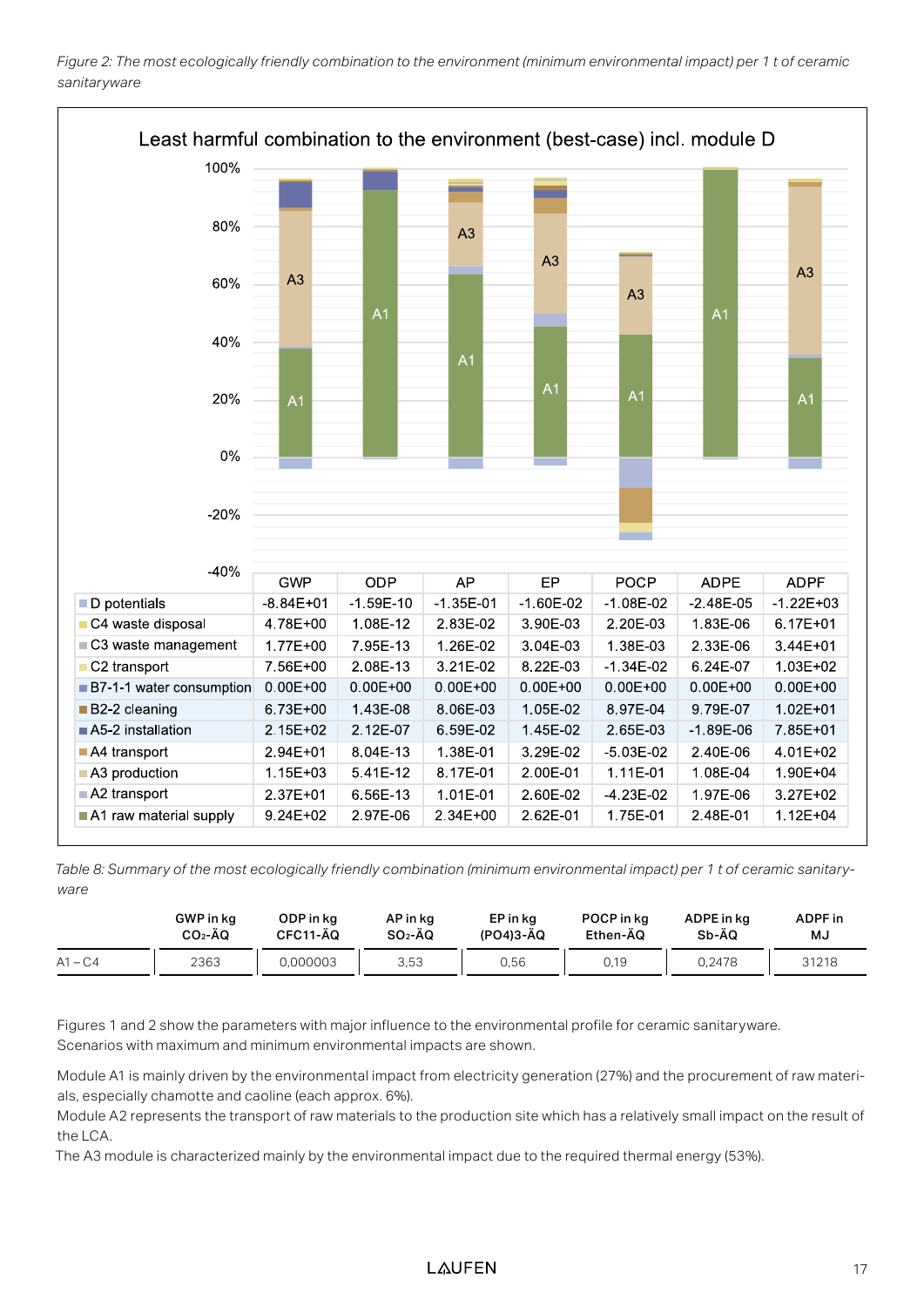



*Table 8: Summary of the most ecologically friendly combination (minimum environmental impact) per 1 t of ceramic sanitaryware*

|           | GWP in kg | ODP in kg | AP in kg  | EP in kg  | POCP in kg | ADPE in kg | ADPF in |
|-----------|-----------|-----------|-----------|-----------|------------|------------|---------|
|           | $CO2$ -ÃO | CFC11-AQ  | $SO2$ -ÄQ | (PO4)3-AQ | Ethen-AQ   | Sb-ÄQ      | MJ      |
| $A1 - C4$ | 2363      | 0.000003  | 3.53      | 0.56      | 0.19       | 0.2478     | 31218   |

Figures 1 and 2 show the parameters with major influence to the environmental profile for ceramic sanitaryware. Scenarios with maximum and minimum environmental impacts are shown.

Module A1 is mainly driven by the environmental impact from electricity generation (27%) and the procurement of raw materials, especially chamotte and caoline (each approx. 6%).

Module A2 represents the transport of raw materials to the production site which has a relatively small impact on the result of the LCA.

The A3 module is characterized mainly by the environmental impact due to the required thermal energy (53%).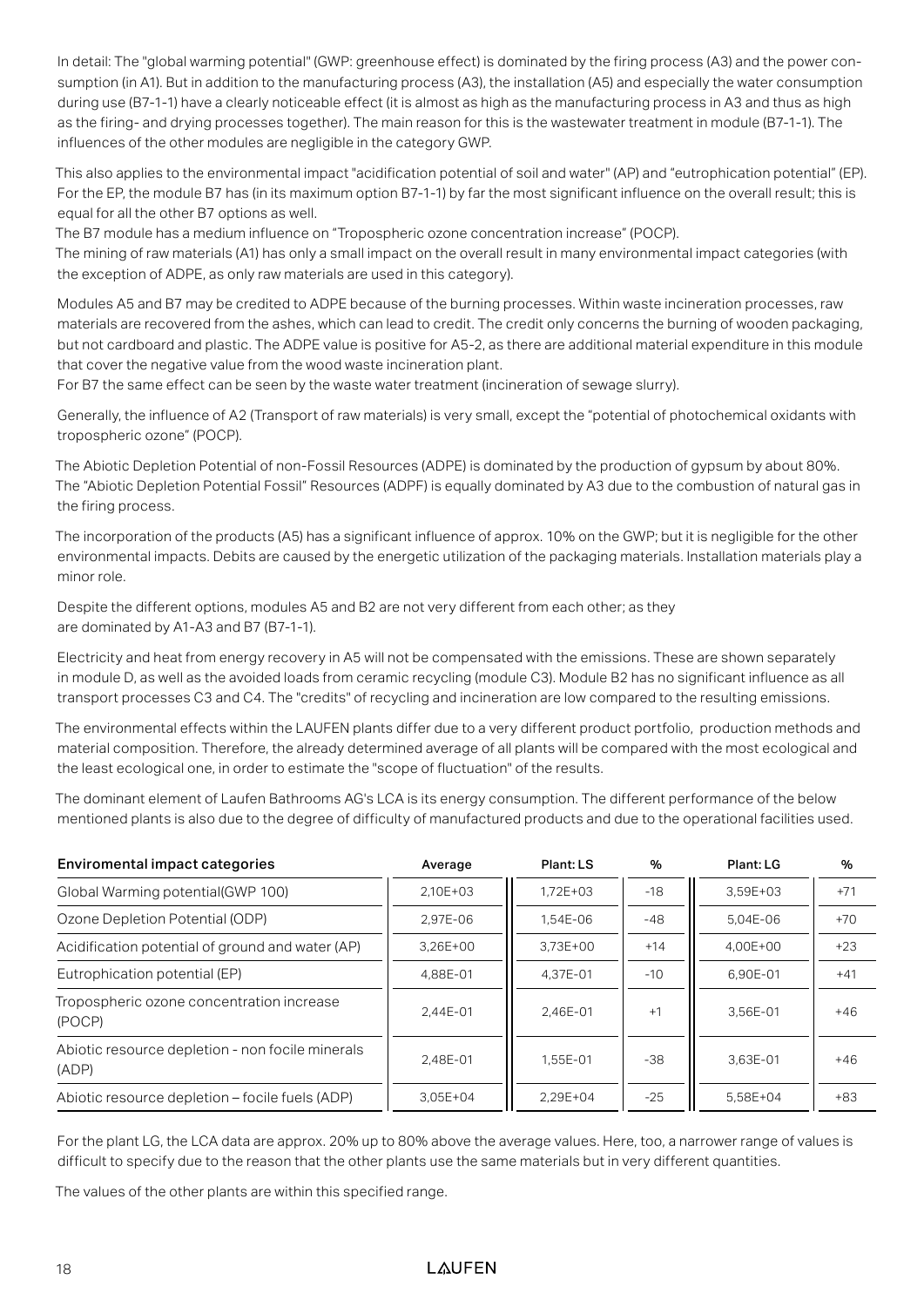In detail: The "global warming potential" (GWP: greenhouse effect) is dominated by the firing process (A3) and the power consumption (in A1). But in addition to the manufacturing process (A3), the installation (A5) and especially the water consumption during use (B7-1-1) have a clearly noticeable effect (it is almost as high as the manufacturing process in A3 and thus as high as the firing- and drying processes together). The main reason for this is the wastewater treatment in module (B7-1-1). The influences of the other modules are negligible in the category GWP.

This also applies to the environmental impact "acidification potential of soil and water" (AP) and "eutrophication potential" (EP). For the EP, the module B7 has (in its maximum option B7-1-1) by far the most significant influence on the overall result; this is equal for all the other B7 options as well.

The B7 module has a medium influence on "Tropospheric ozone concentration increase" (POCP).

The mining of raw materials (A1) has only a small impact on the overall result in many environmental impact categories (with the exception of ADPE, as only raw materials are used in this category).

Modules A5 and B7 may be credited to ADPE because of the burning processes. Within waste incineration processes, raw materials are recovered from the ashes, which can lead to credit. The credit only concerns the burning of wooden packaging, but not cardboard and plastic. The ADPE value is positive for A5-2, as there are additional material expenditure in this module that cover the negative value from the wood waste incineration plant.

For B7 the same effect can be seen by the waste water treatment (incineration of sewage slurry).

Generally, the influence of A2 (Transport of raw materials) is very small, except the "potential of photochemical oxidants with tropospheric ozone" (POCP).

The Abiotic Depletion Potential of non-Fossil Resources (ADPE) is dominated by the production of gypsum by about 80%. The "Abiotic Depletion Potential Fossil" Resources (ADPF) is equally dominated by A3 due to the combustion of natural gas in the firing process.

The incorporation of the products (A5) has a significant influence of approx. 10% on the GWP; but it is negligible for the other environmental impacts. Debits are caused by the energetic utilization of the packaging materials. Installation materials play a minor role.

Despite the different options, modules A5 and B2 are not very different from each other; as they are dominated by A1-A3 and B7 (B7-1-1).

Electricity and heat from energy recovery in A5 will not be compensated with the emissions. These are shown separately in module D, as well as the avoided loads from ceramic recycling (module C3). Module B2 has no significant influence as all transport processes C3 and C4. The "credits" of recycling and incineration are low compared to the resulting emissions.

The environmental effects within the LAUFEN plants differ due to a very different product portfolio, production methods and material composition. Therefore, the already determined average of all plants will be compared with the most ecological and the least ecological one, in order to estimate the "scope of fluctuation" of the results.

The dominant element of Laufen Bathrooms AG's LCA is its energy consumption. The different performance of the below mentioned plants is also due to the degree of difficulty of manufactured products and due to the operational facilities used.

| <b>Enviromental impact categories</b>                     | Average      | Plant: LS    | %     | Plant: LG | %     |
|-----------------------------------------------------------|--------------|--------------|-------|-----------|-------|
| Global Warming potential(GWP 100)                         | 2.10E+03     | $1.72E + 03$ | $-18$ | 3.59E+03  | $+71$ |
| Ozone Depletion Potential (ODP)                           | 2.97E-06     | 1.54E-06     | $-48$ | 5.04E-06  | $+70$ |
| Acidification potential of ground and water (AP)          | $3.26E + 00$ | 3.73E+00     | $+14$ | 4.00E+00  | $+23$ |
| Eutrophication potential (EP)                             | 4,88E-01     | 4.37E-01     | $-10$ | 6.90E-01  | $+41$ |
| Tropospheric ozone concentration increase<br>(POCP)       | 2.44E-01     | 2.46E-01     | $+1$  | 3.56E-01  | $+46$ |
| Abiotic resource depletion - non focile minerals<br>(ADP) | 2.48E-01     | 1.55E-01     | $-38$ | 3.63E-01  | $+46$ |
| Abiotic resource depletion – focile fuels (ADP)           | $3.05E + 04$ | 2.29E+04     | $-25$ | 5.58E+04  | $+83$ |

For the plant LG, the LCA data are approx. 20% up to 80% above the average values. Here, too, a narrower range of values is difficult to specify due to the reason that the other plants use the same materials but in very different quantities.

The values of the other plants are within this specified range.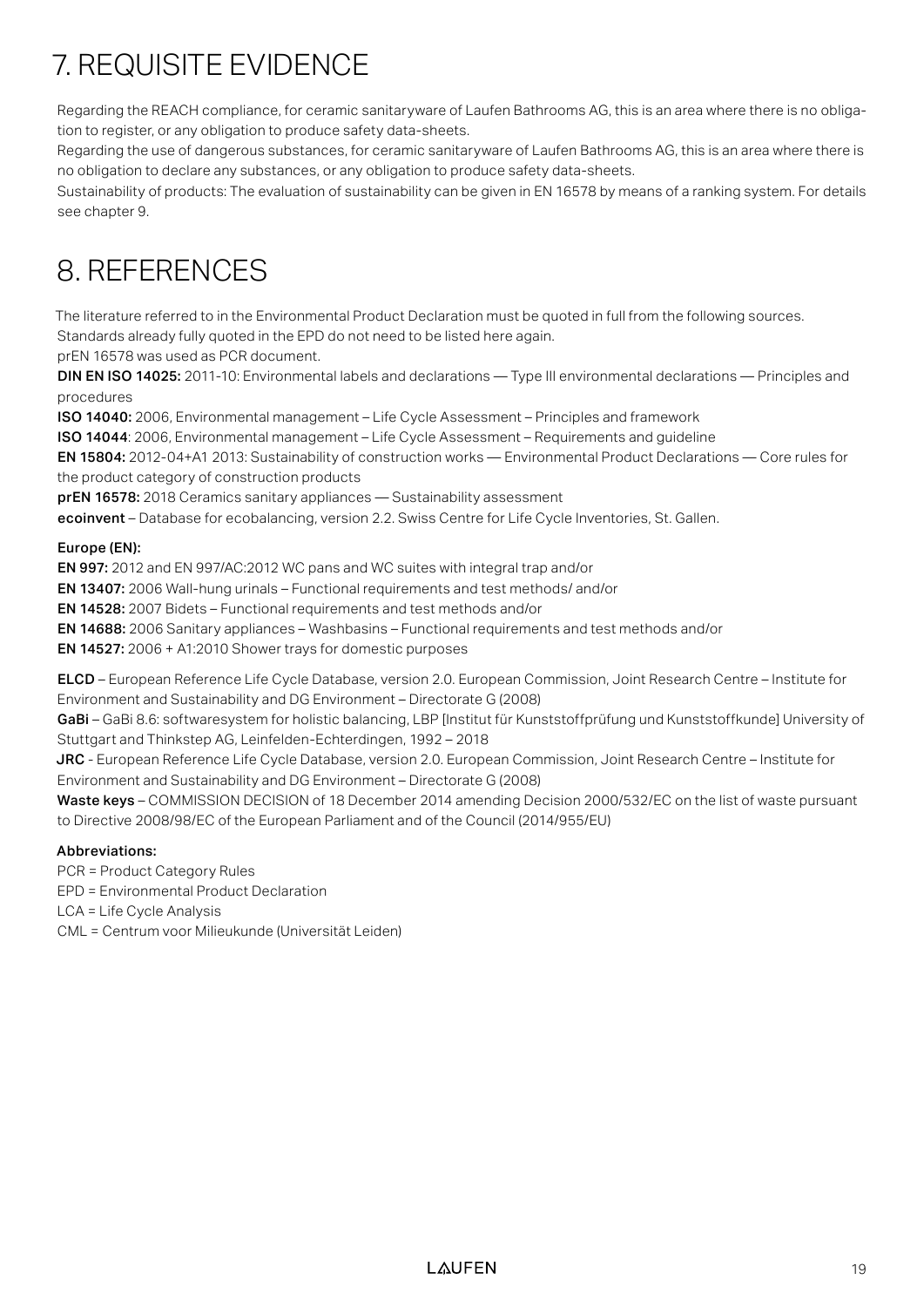## 7. REQUISITE EVIDENCE

Regarding the REACH compliance, for ceramic sanitaryware of Laufen Bathrooms AG, this is an area where there is no obligation to register, or any obligation to produce safety data-sheets.

Regarding the use of dangerous substances, for ceramic sanitaryware of Laufen Bathrooms AG, this is an area where there is no obligation to declare any substances, or any obligation to produce safety data-sheets.

Sustainability of products: The evaluation of sustainability can be given in EN 16578 by means of a ranking system. For details see chapter 9.

## 8. REFERENCES

The literature referred to in the Environmental Product Declaration must be quoted in full from the following sources. Standards already fully quoted in the EPD do not need to be listed here again.

prEN 16578 was used as PCR document.

DIN EN ISO 14025: 2011-10: Environmental labels and declarations — Type III environmental declarations — Principles and procedures

ISO 14040: 2006, Environmental management – Life Cycle Assessment – Principles and framework

ISO 14044: 2006, Environmental management – Life Cycle Assessment – Requirements and guideline

EN 15804: 2012-04+A1 2013: Sustainability of construction works — Environmental Product Declarations — Core rules for the product category of construction products

prEN 16578: 2018 Ceramics sanitary appliances — Sustainability assessment

ecoinvent – Database for ecobalancing, version 2.2. Swiss Centre for Life Cycle Inventories, St. Gallen.

#### Europe (EN):

EN 997: 2012 and EN 997/AC:2012 WC pans and WC suites with integral trap and/or

EN 13407: 2006 Wall-hung urinals – Functional requirements and test methods/ and/or

EN 14528: 2007 Bidets – Functional requirements and test methods and/or

EN 14688: 2006 Sanitary appliances – Washbasins – Functional requirements and test methods and/or

EN 14527: 2006 + A1:2010 Shower trays for domestic purposes

ELCD – European Reference Life Cycle Database, version 2.0. European Commission, Joint Research Centre – Institute for Environment and Sustainability and DG Environment – Directorate G (2008)

GaBi – GaBi 8.6: softwaresystem for holistic balancing, LBP [Institut für Kunststoffprüfung und Kunststoffkunde] University of Stuttgart and Thinkstep AG, Leinfelden-Echterdingen, 1992 – 2018

JRC - European Reference Life Cycle Database, version 2.0. European Commission, Joint Research Centre – Institute for Environment and Sustainability and DG Environment – Directorate G (2008)

Waste keys – COMMISSION DECISION of 18 December 2014 amending Decision 2000/532/EC on the list of waste pursuant to Directive 2008/98/EC of the European Parliament and of the Council (2014/955/EU)

#### Abbreviations:

PCR = Product Category Rules

EPD = Environmental Product Declaration

LCA = Life Cycle Analysis

CML = Centrum voor Milieukunde (Universität Leiden)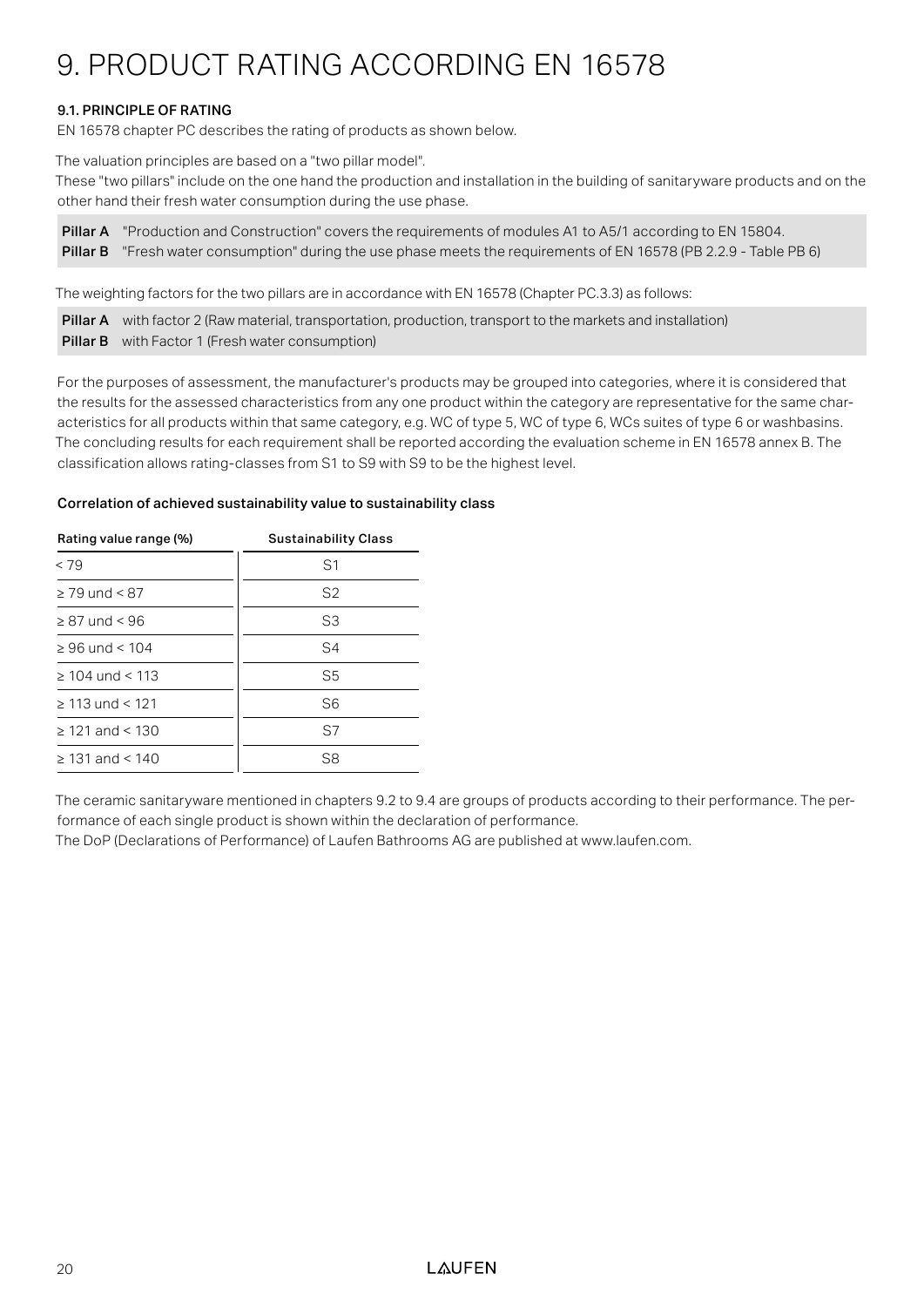## 9. PRODUCT RATING ACCORDING EN 16578

#### 9.1. PRINCIPLE OF RATING

EN 16578 chapter PC describes the rating of products as shown below.

The valuation principles are based on a "two pillar model".

These "two pillars" include on the one hand the production and installation in the building of sanitaryware products and on the other hand their fresh water consumption during the use phase.

Pillar A "Production and Construction" covers the requirements of modules A1 to A5/1 according to EN 15804. Pillar B "Fresh water consumption" during the use phase meets the requirements of EN 16578 (PB 2.2.9 - Table PB 6)

The weighting factors for the two pillars are in accordance with EN 16578 (Chapter PC.3.3) as follows:

Pillar A with factor 2 (Raw material, transportation, production, transport to the markets and installation) **Pillar B** with Factor 1 (Fresh water consumption)

For the purposes of assessment, the manufacturer's products may be grouped into categories, where it is considered that the results for the assessed characteristics from any one product within the category are representative for the same characteristics for all products within that same category, e.g. WC of type 5, WC of type 6, WCs suites of type 6 or washbasins. The concluding results for each requirement shall be reported according the evaluation scheme in EN 16578 annex B. The classification allows rating-classes from S1 to S9 with S9 to be the highest level.

#### Correlation of achieved sustainability value to sustainability class

| Rating value range (%) | <b>Sustainability Class</b> |  |  |  |  |
|------------------------|-----------------------------|--|--|--|--|
| < 79                   | S <sub>1</sub>              |  |  |  |  |
| $\geq$ 79 und < 87     | S <sub>2</sub>              |  |  |  |  |
| $\geq$ 87 und < 96     | S3                          |  |  |  |  |
| $\geq 96$ und < 104    | S4                          |  |  |  |  |
| $>104$ und $< 113$     | S5                          |  |  |  |  |
| $> 113$ und < 121      | S6                          |  |  |  |  |
| $\geq$ 121 and < 130   | S7                          |  |  |  |  |
| $> 131$ and $< 140$    | S8                          |  |  |  |  |

The ceramic sanitaryware mentioned in chapters 9.2 to 9.4 are groups of products according to their performance. The performance of each single product is shown within the declaration of performance.

The DoP (Declarations of Performance) of Laufen Bathrooms AG are published at www.laufen.com.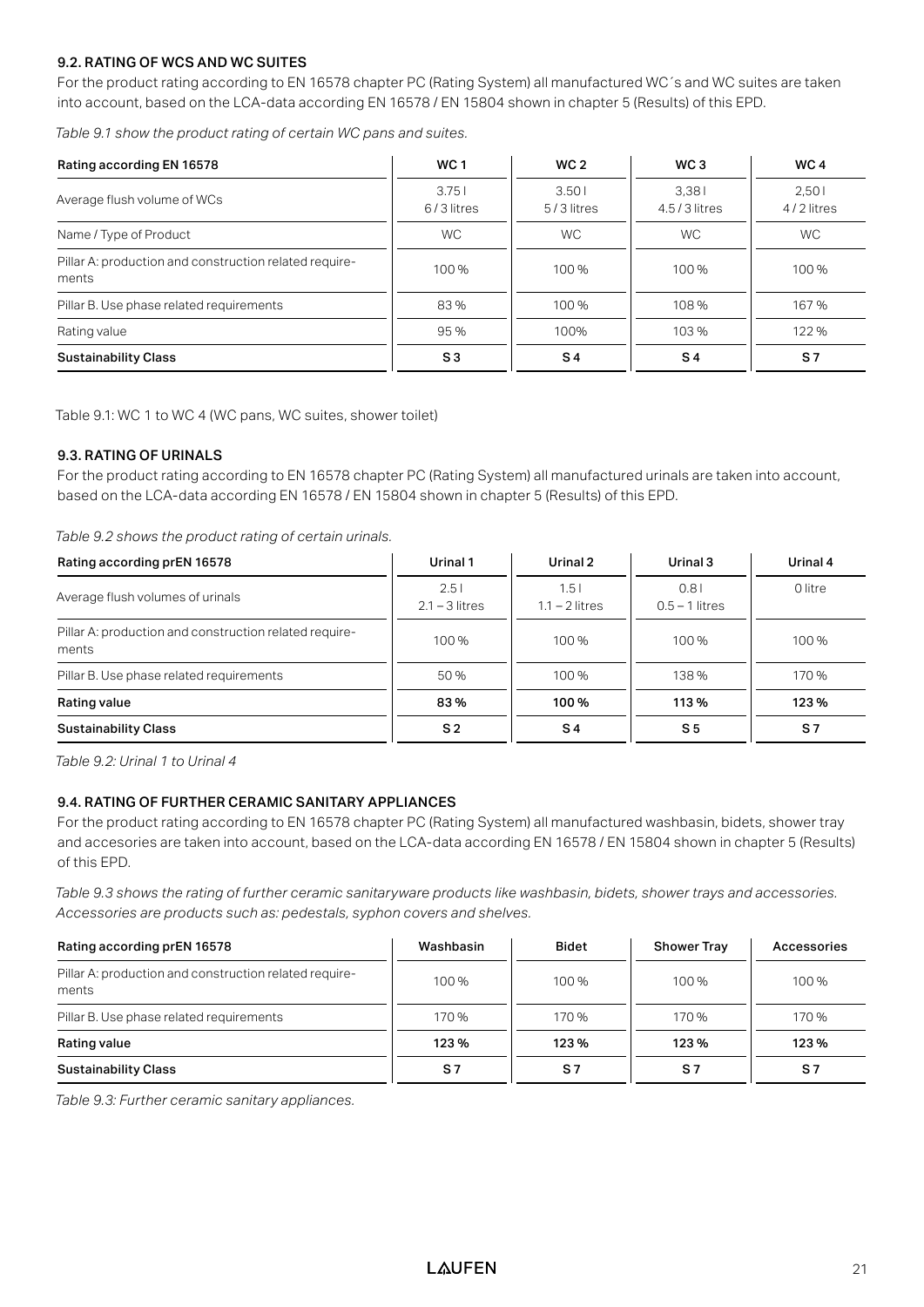#### 9.2. RATING OF WCS AND WC SUITES

For the product rating according to EN 16578 chapter PC (Rating System) all manufactured WC´s and WC suites are taken into account, based on the LCA-data according EN 16578 / EN 15804 shown in chapter 5 (Results) of this EPD.

*Table 9.1 show the product rating of certain WC pans and suites.*

| Rating according EN 16578                                       | <b>WC1</b>          | WC <sub>2</sub>     | WC <sub>3</sub>         | WC 4<br>2.501<br>4/2 litres |  |
|-----------------------------------------------------------------|---------------------|---------------------|-------------------------|-----------------------------|--|
| Average flush volume of WCs                                     | 3.751<br>6/3 litres | 3.501<br>5/3 litres | 3.381<br>$4.5/3$ litres |                             |  |
| Name / Type of Product                                          | <b>WC</b>           | WC.                 | <b>WC</b>               | <b>WC</b>                   |  |
| Pillar A: production and construction related require-<br>ments | 100 %               | 100 %               | 100 %                   | 100 %                       |  |
| Pillar B. Use phase related requirements                        | 83%                 | 100 %               | 108%                    | 167%                        |  |
| Rating value                                                    | 95%                 | 100%                | 103%                    | 122%                        |  |
| <b>Sustainability Class</b>                                     | S <sub>3</sub>      | $S_4$               | <b>S</b> 4              | S <sub>7</sub>              |  |

Table 9.1: WC 1 to WC 4 (WC pans, WC suites, shower toilet)

#### 9.3. RATING OF URINALS

For the product rating according to EN 16578 chapter PC (Rating System) all manufactured urinals are taken into account, based on the LCA-data according EN 16578 / EN 15804 shown in chapter 5 (Results) of this EPD.

*Table 9.2 shows the product rating of certain urinals.*

| Rating according prEN 16578                                     | Urinal 1                 | Urinal 2                 | Urinal 3                 | Urinal 4 |
|-----------------------------------------------------------------|--------------------------|--------------------------|--------------------------|----------|
| Average flush volumes of urinals                                | 2.51<br>$2.1 - 3$ litres | 1.51<br>$1.1 - 2$ litres | 0.81<br>$0.5 - 1$ litres | 0 litre  |
| Pillar A: production and construction related require-<br>ments | 100%                     | 100%                     | 100%                     | 100%     |
| Pillar B. Use phase related requirements                        | 50%                      | 100 %                    | 138%                     | 170 %    |
| Rating value                                                    | 83%                      | 100%                     | 113 %                    | 123 %    |
| <b>Sustainability Class</b>                                     | S <sub>2</sub>           | <b>S</b> 4               | S <sub>5</sub>           | S7       |

*Table 9.2: Urinal 1 to Urinal 4*

#### 9.4. RATING OF FURTHER CERAMIC SANITARY APPLIANCES

For the product rating according to EN 16578 chapter PC (Rating System) all manufactured washbasin, bidets, shower tray and accesories are taken into account, based on the LCA-data according EN 16578 / EN 15804 shown in chapter 5 (Results) of this EPD.

*Table 9.3 shows the rating of further ceramic sanitaryware products like washbasin, bidets, shower trays and accessories. Accessories are products such as: pedestals, syphon covers and shelves.* 

| Rating according prEN 16578                                     | Washbasin | <b>Bidet</b> | <b>Shower Tray</b> | Accessories |
|-----------------------------------------------------------------|-----------|--------------|--------------------|-------------|
| Pillar A: production and construction related require-<br>ments | 100 %     | 100 %        | 100%               | 100 %       |
| Pillar B. Use phase related requirements                        | 170 %     | 170 %        | 170 %              | 170 %       |
| Rating value                                                    | 123%      | 123 %        | 123%               | 123%        |
| <b>Sustainability Class</b>                                     | S7        | S7           | S7                 | S7          |

*Table 9.3: Further ceramic sanitary appliances.*